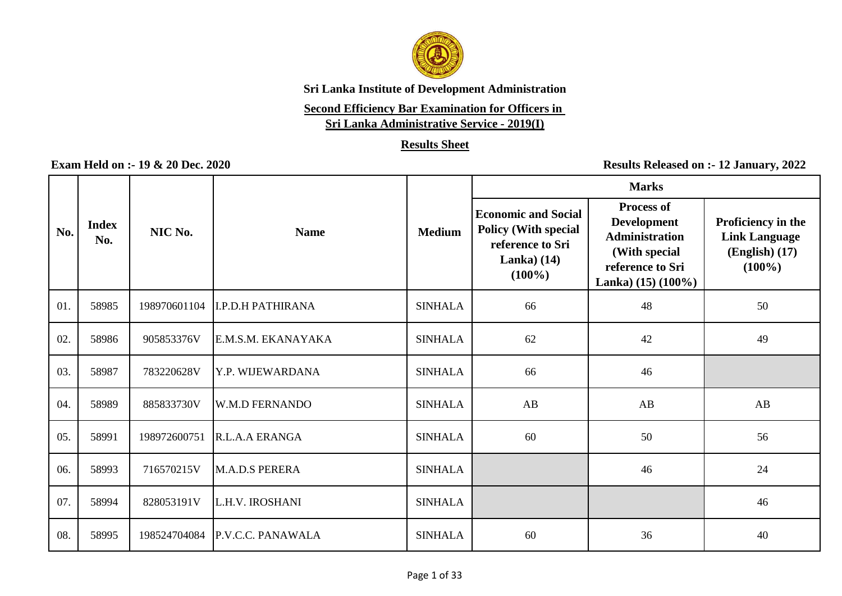

### **Second Efficiency Bar Examination for Officers in**

**Sri Lanka Administrative Service - 2019(I)**

### **Results Sheet**

|     |                     |              |                          |                | <b>Marks</b>                                                                                                |                                                                                                                                  |                                                                               |  |
|-----|---------------------|--------------|--------------------------|----------------|-------------------------------------------------------------------------------------------------------------|----------------------------------------------------------------------------------------------------------------------------------|-------------------------------------------------------------------------------|--|
| No. | <b>Index</b><br>No. | NIC No.      | <b>Name</b>              | <b>Medium</b>  | <b>Economic and Social</b><br><b>Policy (With special</b><br>reference to Sri<br>Lanka) $(14)$<br>$(100\%)$ | <b>Process of</b><br><b>Development</b><br><b>Administration</b><br>(With special<br>reference to Sri<br>Lanka) $(15)$ $(100\%)$ | Proficiency in the<br><b>Link Language</b><br>$(English)$ $(17)$<br>$(100\%)$ |  |
| 01. | 58985               | 198970601104 | <b>I.P.D.H PATHIRANA</b> | <b>SINHALA</b> | 66                                                                                                          | 48                                                                                                                               | 50                                                                            |  |
| 02. | 58986               | 905853376V   | E.M.S.M. EKANAYAKA       | <b>SINHALA</b> | 62                                                                                                          | 42                                                                                                                               | 49                                                                            |  |
| 03. | 58987               | 783220628V   | Y.P. WIJEWARDANA         | <b>SINHALA</b> | 66                                                                                                          | 46                                                                                                                               |                                                                               |  |
| 04. | 58989               | 885833730V   | <b>W.M.D FERNANDO</b>    | <b>SINHALA</b> | AB                                                                                                          | AB                                                                                                                               | AB                                                                            |  |
| 05. | 58991               | 198972600751 | R.L.A.A ERANGA           | <b>SINHALA</b> | 60                                                                                                          | 50                                                                                                                               | 56                                                                            |  |
| 06. | 58993               | 716570215V   | M.A.D.S PERERA           | <b>SINHALA</b> |                                                                                                             | 46                                                                                                                               | 24                                                                            |  |
| 07. | 58994               | 828053191V   | L.H.V. IROSHANI          | <b>SINHALA</b> |                                                                                                             |                                                                                                                                  | 46                                                                            |  |
| 08. | 58995               | 198524704084 | P.V.C.C. PANAWALA        | <b>SINHALA</b> | 60                                                                                                          | 36                                                                                                                               | 40                                                                            |  |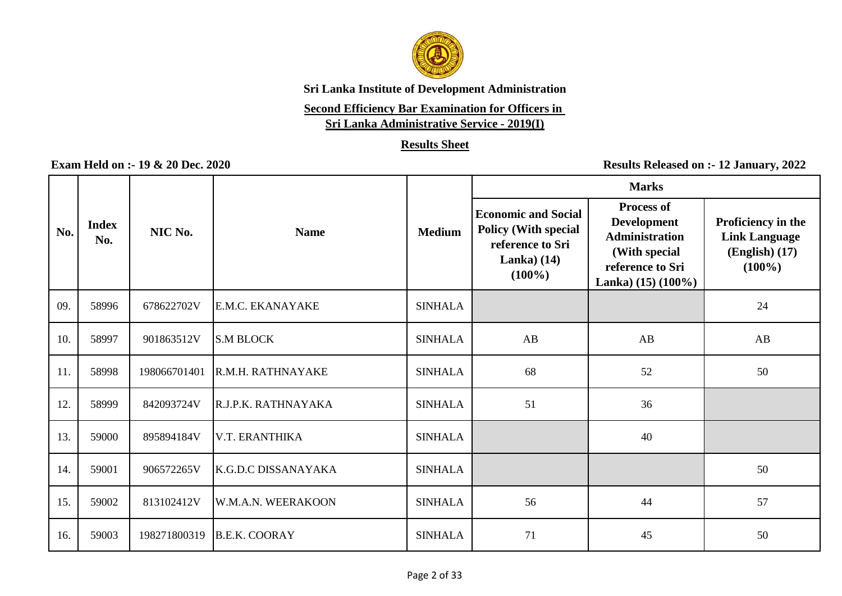

# **Second Efficiency Bar Examination for Officers in**

**Sri Lanka Administrative Service - 2019(I)**

### **Results Sheet**

|     |                     |              |                      |                | <b>Marks</b>                                                                                                |                                                                                                                                  |                                                                               |  |
|-----|---------------------|--------------|----------------------|----------------|-------------------------------------------------------------------------------------------------------------|----------------------------------------------------------------------------------------------------------------------------------|-------------------------------------------------------------------------------|--|
| No. | <b>Index</b><br>No. | NIC No.      | <b>Name</b>          | <b>Medium</b>  | <b>Economic and Social</b><br><b>Policy (With special</b><br>reference to Sri<br>Lanka) $(14)$<br>$(100\%)$ | <b>Process of</b><br><b>Development</b><br><b>Administration</b><br>(With special<br>reference to Sri<br>Lanka) $(15)$ $(100\%)$ | Proficiency in the<br><b>Link Language</b><br>$(English)$ $(17)$<br>$(100\%)$ |  |
| 09. | 58996               | 678622702V   | E.M.C. EKANAYAKE     | <b>SINHALA</b> |                                                                                                             |                                                                                                                                  | 24                                                                            |  |
| 10. | 58997               | 901863512V   | <b>S.M BLOCK</b>     | <b>SINHALA</b> | AB                                                                                                          | AB                                                                                                                               | AB                                                                            |  |
| 11. | 58998               | 198066701401 | R.M.H. RATHNAYAKE    | <b>SINHALA</b> | 68                                                                                                          | 52                                                                                                                               | 50                                                                            |  |
| 12. | 58999               | 842093724V   | R.J.P.K. RATHNAYAKA  | <b>SINHALA</b> | 51                                                                                                          | 36                                                                                                                               |                                                                               |  |
| 13. | 59000               | 895894184V   | V.T. ERANTHIKA       | <b>SINHALA</b> |                                                                                                             | 40                                                                                                                               |                                                                               |  |
| 14. | 59001               | 906572265V   | K.G.D.C DISSANAYAKA  | <b>SINHALA</b> |                                                                                                             |                                                                                                                                  | 50                                                                            |  |
| 15. | 59002               | 813102412V   | W.M.A.N. WEERAKOON   | <b>SINHALA</b> | 56                                                                                                          | 44                                                                                                                               | 57                                                                            |  |
| 16. | 59003               | 198271800319 | <b>B.E.K. COORAY</b> | <b>SINHALA</b> | 71                                                                                                          | 45                                                                                                                               | 50                                                                            |  |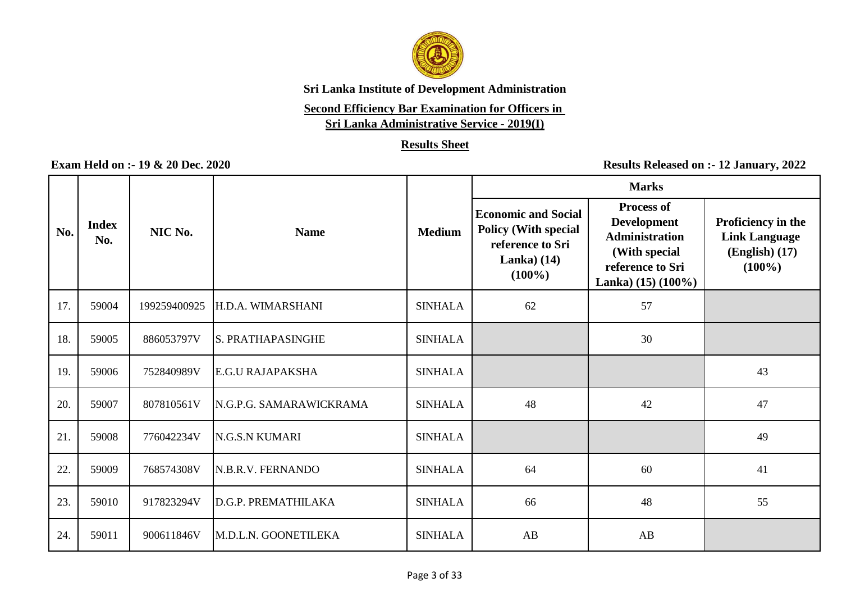

# **Second Efficiency Bar Examination for Officers in**

**Sri Lanka Administrative Service - 2019(I)**

### **Results Sheet**

|     |                     |              |                          |                | <b>Marks</b>                                                                                               |                                                                                                                                  |                                                                             |  |
|-----|---------------------|--------------|--------------------------|----------------|------------------------------------------------------------------------------------------------------------|----------------------------------------------------------------------------------------------------------------------------------|-----------------------------------------------------------------------------|--|
| No. | <b>Index</b><br>No. | NIC No.      | <b>Name</b>              | <b>Medium</b>  | <b>Economic and Social</b><br><b>Policy (With special</b><br>reference to Sri<br>Lanka $(14)$<br>$(100\%)$ | <b>Process of</b><br><b>Development</b><br><b>Administration</b><br>(With special<br>reference to Sri<br>Lanka) $(15)$ $(100\%)$ | Proficiency in the<br><b>Link Language</b><br>$(English)$ (17)<br>$(100\%)$ |  |
| 17. | 59004               | 199259400925 | H.D.A. WIMARSHANI        | <b>SINHALA</b> | 62                                                                                                         | 57                                                                                                                               |                                                                             |  |
| 18. | 59005               | 886053797V   | <b>S. PRATHAPASINGHE</b> | <b>SINHALA</b> |                                                                                                            | 30                                                                                                                               |                                                                             |  |
| 19. | 59006               | 752840989V   | <b>E.G.U RAJAPAKSHA</b>  | <b>SINHALA</b> |                                                                                                            |                                                                                                                                  | 43                                                                          |  |
| 20. | 59007               | 807810561V   | N.G.P.G. SAMARAWICKRAMA  | <b>SINHALA</b> | 48                                                                                                         | 42                                                                                                                               | 47                                                                          |  |
| 21. | 59008               | 776042234V   | <b>N.G.S.N KUMARI</b>    | <b>SINHALA</b> |                                                                                                            |                                                                                                                                  | 49                                                                          |  |
| 22. | 59009               | 768574308V   | N.B.R.V. FERNANDO        | <b>SINHALA</b> | 64                                                                                                         | 60                                                                                                                               | 41                                                                          |  |
| 23. | 59010               | 917823294V   | D.G.P. PREMATHILAKA      | <b>SINHALA</b> | 66                                                                                                         | 48                                                                                                                               | 55                                                                          |  |
| 24. | 59011               | 900611846V   | M.D.L.N. GOONETILEKA     | <b>SINHALA</b> | AB                                                                                                         | AB                                                                                                                               |                                                                             |  |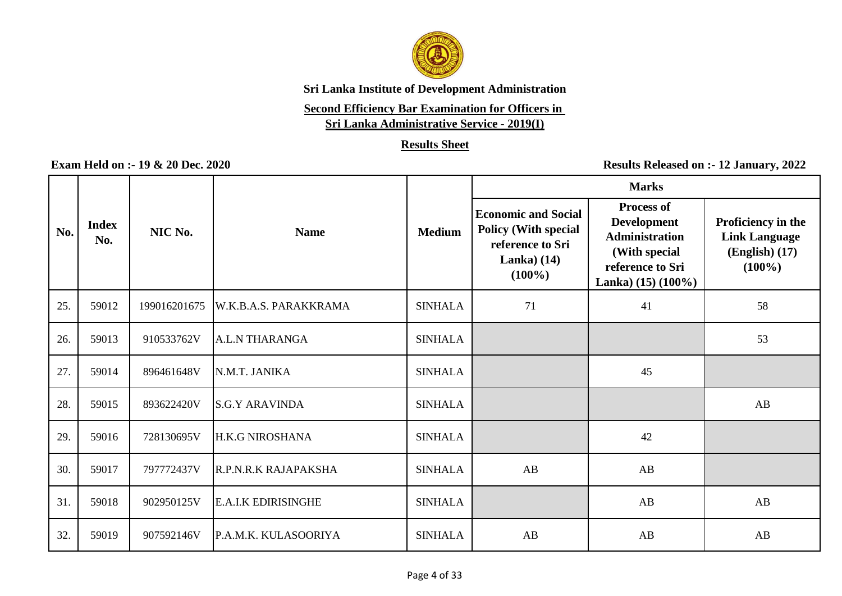

# **Second Efficiency Bar Examination for Officers in**

**Sri Lanka Administrative Service - 2019(I)**

### **Results Sheet**

|     |                     |              |                            |                | <b>Marks</b>                                                                                               |                                                                                                                                  |                                                                               |  |
|-----|---------------------|--------------|----------------------------|----------------|------------------------------------------------------------------------------------------------------------|----------------------------------------------------------------------------------------------------------------------------------|-------------------------------------------------------------------------------|--|
| No. | <b>Index</b><br>No. | NIC No.      | <b>Name</b>                | <b>Medium</b>  | <b>Economic and Social</b><br><b>Policy (With special</b><br>reference to Sri<br>Lanka $(14)$<br>$(100\%)$ | <b>Process of</b><br><b>Development</b><br><b>Administration</b><br>(With special<br>reference to Sri<br>Lanka) $(15)$ $(100\%)$ | Proficiency in the<br><b>Link Language</b><br>$(English)$ $(17)$<br>$(100\%)$ |  |
| 25. | 59012               | 199016201675 | W.K.B.A.S. PARAKKRAMA      | <b>SINHALA</b> | 71                                                                                                         | 41                                                                                                                               | 58                                                                            |  |
| 26. | 59013               | 910533762V   | A.L.N THARANGA             | <b>SINHALA</b> |                                                                                                            |                                                                                                                                  | 53                                                                            |  |
| 27. | 59014               | 896461648V   | N.M.T. JANIKA              | <b>SINHALA</b> |                                                                                                            | 45                                                                                                                               |                                                                               |  |
| 28. | 59015               | 893622420V   | <b>S.G.Y ARAVINDA</b>      | <b>SINHALA</b> |                                                                                                            |                                                                                                                                  | AB                                                                            |  |
| 29. | 59016               | 728130695V   | H.K.G NIROSHANA            | <b>SINHALA</b> |                                                                                                            | 42                                                                                                                               |                                                                               |  |
| 30. | 59017               | 797772437V   | R.P.N.R.K RAJAPAKSHA       | <b>SINHALA</b> | AB                                                                                                         | AB                                                                                                                               |                                                                               |  |
| 31. | 59018               | 902950125V   | <b>E.A.I.K EDIRISINGHE</b> | <b>SINHALA</b> |                                                                                                            | AB                                                                                                                               | AB                                                                            |  |
| 32. | 59019               | 907592146V   | P.A.M.K. KULASOORIYA       | <b>SINHALA</b> | AB                                                                                                         | AB                                                                                                                               | AB                                                                            |  |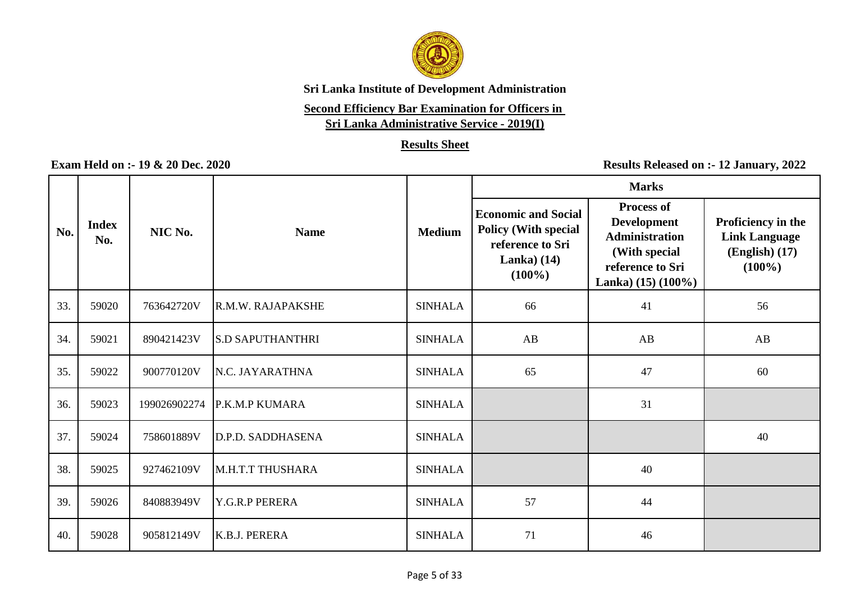

# **Second Efficiency Bar Examination for Officers in**

**Sri Lanka Administrative Service - 2019(I)**

### **Results Sheet**

|     |                     |              |                         |                | <b>Marks</b>                                                                                               |                                                                                                                                  |                                                                             |  |
|-----|---------------------|--------------|-------------------------|----------------|------------------------------------------------------------------------------------------------------------|----------------------------------------------------------------------------------------------------------------------------------|-----------------------------------------------------------------------------|--|
| No. | <b>Index</b><br>No. | NIC No.      | <b>Name</b>             | <b>Medium</b>  | <b>Economic and Social</b><br><b>Policy (With special</b><br>reference to Sri<br>Lanka $(14)$<br>$(100\%)$ | <b>Process of</b><br><b>Development</b><br><b>Administration</b><br>(With special<br>reference to Sri<br>Lanka) $(15)$ $(100\%)$ | Proficiency in the<br><b>Link Language</b><br>$(English)$ (17)<br>$(100\%)$ |  |
| 33. | 59020               | 763642720V   | R.M.W. RAJAPAKSHE       | <b>SINHALA</b> | 66                                                                                                         | 41                                                                                                                               | 56                                                                          |  |
| 34. | 59021               | 890421423V   | <b>S.D SAPUTHANTHRI</b> | <b>SINHALA</b> | AB                                                                                                         | AB                                                                                                                               | AB                                                                          |  |
| 35. | 59022               | 900770120V   | N.C. JAYARATHNA         | <b>SINHALA</b> | 65                                                                                                         | 47                                                                                                                               | 60                                                                          |  |
| 36. | 59023               | 199026902274 | <b>P.K.M.P KUMARA</b>   | <b>SINHALA</b> |                                                                                                            | 31                                                                                                                               |                                                                             |  |
| 37. | 59024               | 758601889V   | D.P.D. SADDHASENA       | <b>SINHALA</b> |                                                                                                            |                                                                                                                                  | 40                                                                          |  |
| 38. | 59025               | 927462109V   | M.H.T.T THUSHARA        | <b>SINHALA</b> |                                                                                                            | 40                                                                                                                               |                                                                             |  |
| 39. | 59026               | 840883949V   | Y.G.R.P PERERA          | <b>SINHALA</b> | 57                                                                                                         | 44                                                                                                                               |                                                                             |  |
| 40. | 59028               | 905812149V   | K.B.J. PERERA           | <b>SINHALA</b> | 71                                                                                                         | 46                                                                                                                               |                                                                             |  |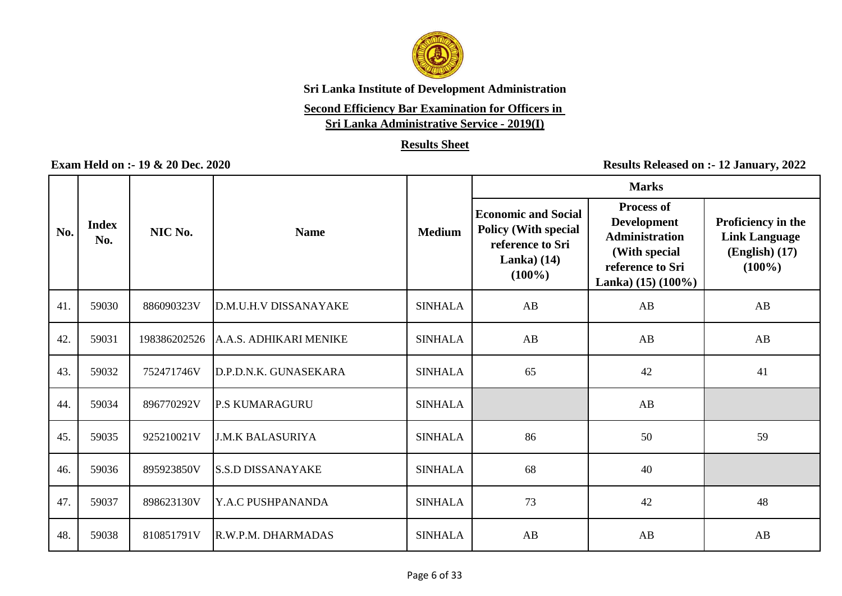

# **Second Efficiency Bar Examination for Officers in**

**Sri Lanka Administrative Service - 2019(I)**

### **Results Sheet**

|     |                     |              |                          |                | <b>Marks</b>                                                                                               |                                                                                                                                  |                                                                             |  |
|-----|---------------------|--------------|--------------------------|----------------|------------------------------------------------------------------------------------------------------------|----------------------------------------------------------------------------------------------------------------------------------|-----------------------------------------------------------------------------|--|
| No. | <b>Index</b><br>No. | NIC No.      | <b>Name</b>              | <b>Medium</b>  | <b>Economic and Social</b><br><b>Policy (With special</b><br>reference to Sri<br>Lanka $(14)$<br>$(100\%)$ | <b>Process of</b><br><b>Development</b><br><b>Administration</b><br>(With special<br>reference to Sri<br>Lanka) $(15)$ $(100\%)$ | Proficiency in the<br><b>Link Language</b><br>$(English)$ (17)<br>$(100\%)$ |  |
| 41. | 59030               | 886090323V   | D.M.U.H.V DISSANAYAKE    | <b>SINHALA</b> | AB                                                                                                         | AB                                                                                                                               | AB                                                                          |  |
| 42  | 59031               | 198386202526 | A.A.S. ADHIKARI MENIKE   | <b>SINHALA</b> | AB                                                                                                         | AB                                                                                                                               | AB                                                                          |  |
| 43. | 59032               | 752471746V   | D.P.D.N.K. GUNASEKARA    | <b>SINHALA</b> | 65                                                                                                         | 42                                                                                                                               | 41                                                                          |  |
| 44. | 59034               | 896770292V   | <b>P.S KUMARAGURU</b>    | <b>SINHALA</b> |                                                                                                            | AB                                                                                                                               |                                                                             |  |
| 45. | 59035               | 925210021V   | <b>J.M.K BALASURIYA</b>  | <b>SINHALA</b> | 86                                                                                                         | 50                                                                                                                               | 59                                                                          |  |
| 46. | 59036               | 895923850V   | <b>S.S.D DISSANAYAKE</b> | <b>SINHALA</b> | 68                                                                                                         | 40                                                                                                                               |                                                                             |  |
| 47. | 59037               | 898623130V   | Y.A.C PUSHPANANDA        | <b>SINHALA</b> | 73                                                                                                         | 42                                                                                                                               | 48                                                                          |  |
| 48. | 59038               | 810851791V   | R.W.P.M. DHARMADAS       | <b>SINHALA</b> | AB                                                                                                         | AB                                                                                                                               | $\mathbf{A}\mathbf{B}$                                                      |  |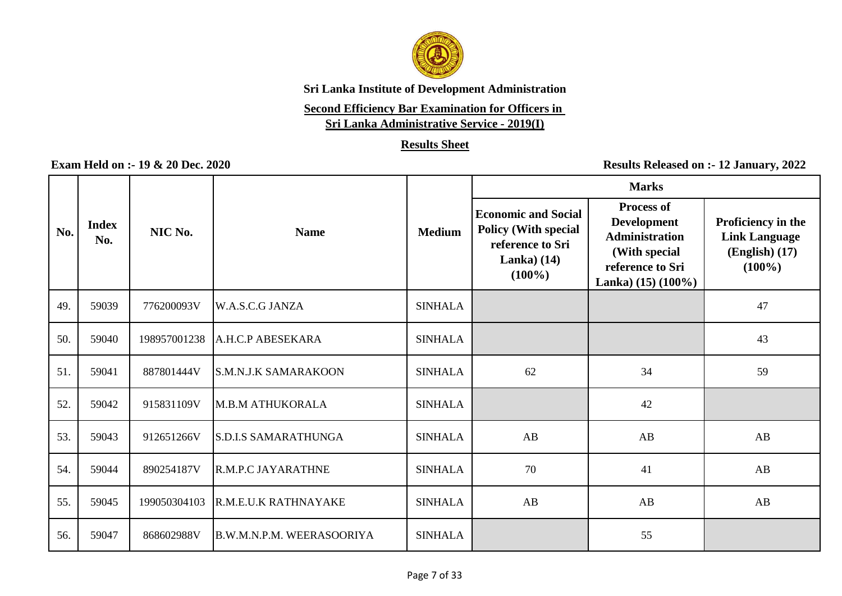

# **Second Efficiency Bar Examination for Officers in**

**Sri Lanka Administrative Service - 2019(I)**

### **Results Sheet**

|     |                     |              |                             |                |                                                                                                            | <b>Marks</b>                                                                                                                     |                                                                               |
|-----|---------------------|--------------|-----------------------------|----------------|------------------------------------------------------------------------------------------------------------|----------------------------------------------------------------------------------------------------------------------------------|-------------------------------------------------------------------------------|
| No. | <b>Index</b><br>No. | NIC No.      | <b>Name</b>                 | <b>Medium</b>  | <b>Economic and Social</b><br><b>Policy (With special</b><br>reference to Sri<br>Lanka $(14)$<br>$(100\%)$ | <b>Process of</b><br><b>Development</b><br><b>Administration</b><br>(With special<br>reference to Sri<br>Lanka) $(15)$ $(100\%)$ | Proficiency in the<br><b>Link Language</b><br>$(English)$ $(17)$<br>$(100\%)$ |
| 49. | 59039               | 776200093V   | W.A.S.C.G JANZA             | <b>SINHALA</b> |                                                                                                            |                                                                                                                                  | 47                                                                            |
| 50. | 59040               | 198957001238 | A.H.C.P ABESEKARA           | <b>SINHALA</b> |                                                                                                            |                                                                                                                                  | 43                                                                            |
| 51. | 59041               | 887801444V   | <b>S.M.N.J.K SAMARAKOON</b> | <b>SINHALA</b> | 62                                                                                                         | 34                                                                                                                               | 59                                                                            |
| 52. | 59042               | 915831109V   | M.B.M ATHUKORALA            | <b>SINHALA</b> |                                                                                                            | 42                                                                                                                               |                                                                               |
| 53. | 59043               | 912651266V   | <b>S.D.I.S SAMARATHUNGA</b> | <b>SINHALA</b> | AB                                                                                                         | AB                                                                                                                               | AB                                                                            |
| 54. | 59044               | 890254187V   | <b>R.M.P.C JAYARATHNE</b>   | <b>SINHALA</b> | 70                                                                                                         | 41                                                                                                                               | AB                                                                            |
| 55. | 59045               | 199050304103 | R.M.E.U.K RATHNAYAKE        | <b>SINHALA</b> | AB                                                                                                         | AB                                                                                                                               | AB                                                                            |
| 56. | 59047               | 868602988V   | B.W.M.N.P.M. WEERASOORIYA   | <b>SINHALA</b> |                                                                                                            | 55                                                                                                                               |                                                                               |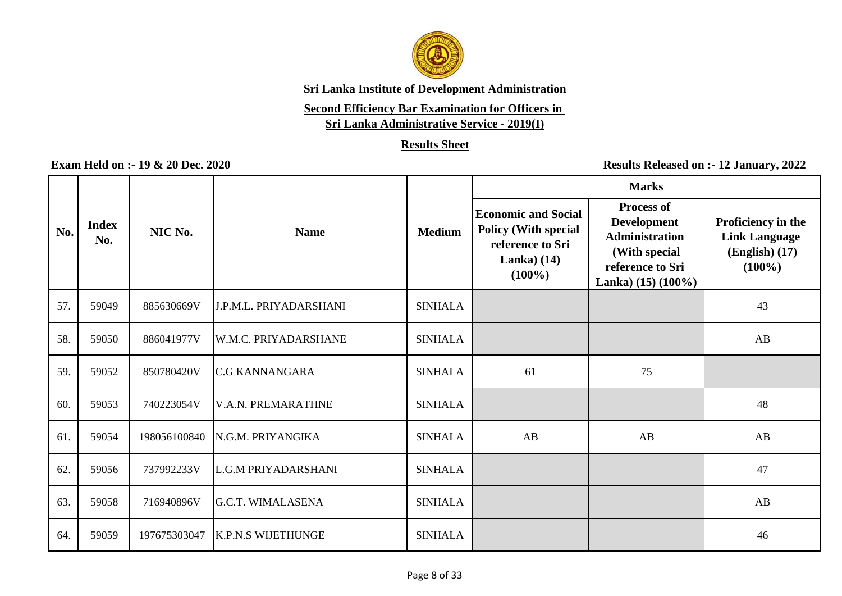

# **Second Efficiency Bar Examination for Officers in**

**Sri Lanka Administrative Service - 2019(I)**

### **Results Sheet**

|     |                     |              |                               |                | <b>Marks</b>                                                                                                |                                                                                                                                  |                                                                               |
|-----|---------------------|--------------|-------------------------------|----------------|-------------------------------------------------------------------------------------------------------------|----------------------------------------------------------------------------------------------------------------------------------|-------------------------------------------------------------------------------|
| No. | <b>Index</b><br>No. | NIC No.      | <b>Name</b>                   | <b>Medium</b>  | <b>Economic and Social</b><br><b>Policy (With special</b><br>reference to Sri<br>Lanka) $(14)$<br>$(100\%)$ | <b>Process of</b><br><b>Development</b><br><b>Administration</b><br>(With special<br>reference to Sri<br>Lanka) $(15)$ $(100\%)$ | Proficiency in the<br><b>Link Language</b><br>$(English)$ $(17)$<br>$(100\%)$ |
| 57. | 59049               | 885630669V   | <b>J.P.M.L. PRIYADARSHANI</b> | <b>SINHALA</b> |                                                                                                             |                                                                                                                                  | 43                                                                            |
| 58. | 59050               | 886041977V   | W.M.C. PRIYADARSHANE          | <b>SINHALA</b> |                                                                                                             |                                                                                                                                  | AB                                                                            |
| 59. | 59052               | 850780420V   | <b>C.G KANNANGARA</b>         | <b>SINHALA</b> | 61                                                                                                          | 75                                                                                                                               |                                                                               |
| 60. | 59053               | 740223054V   | <b>V.A.N. PREMARATHNE</b>     | <b>SINHALA</b> |                                                                                                             |                                                                                                                                  | 48                                                                            |
| 61. | 59054               | 198056100840 | <b>N.G.M. PRIYANGIKA</b>      | <b>SINHALA</b> | AB                                                                                                          | AB                                                                                                                               | AB                                                                            |
| 62. | 59056               | 737992233V   | L.G.M PRIYADARSHANI           | <b>SINHALA</b> |                                                                                                             |                                                                                                                                  | 47                                                                            |
| 63. | 59058               | 716940896V   | <b>G.C.T. WIMALASENA</b>      | <b>SINHALA</b> |                                                                                                             |                                                                                                                                  | AB                                                                            |
| 64. | 59059               | 197675303047 | <b>K.P.N.S WIJETHUNGE</b>     | <b>SINHALA</b> |                                                                                                             |                                                                                                                                  | 46                                                                            |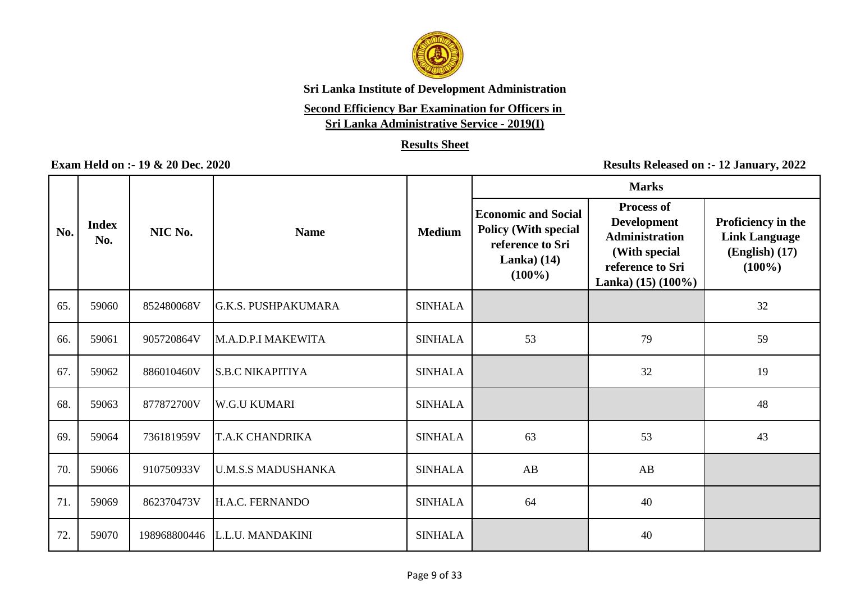

# **Second Efficiency Bar Examination for Officers in**

**Sri Lanka Administrative Service - 2019(I)**

### **Results Sheet**

|     |                     |              |                            |                | <b>Marks</b>                                                                                               |                                                                                                                                  |                                                                             |  |
|-----|---------------------|--------------|----------------------------|----------------|------------------------------------------------------------------------------------------------------------|----------------------------------------------------------------------------------------------------------------------------------|-----------------------------------------------------------------------------|--|
| No. | <b>Index</b><br>No. | NIC No.      | <b>Name</b>                | <b>Medium</b>  | <b>Economic and Social</b><br><b>Policy (With special</b><br>reference to Sri<br>Lanka $(14)$<br>$(100\%)$ | <b>Process of</b><br><b>Development</b><br><b>Administration</b><br>(With special<br>reference to Sri<br>Lanka) $(15)$ $(100\%)$ | Proficiency in the<br><b>Link Language</b><br>$(English)$ (17)<br>$(100\%)$ |  |
| 65. | 59060               | 852480068V   | <b>G.K.S. PUSHPAKUMARA</b> | <b>SINHALA</b> |                                                                                                            |                                                                                                                                  | 32                                                                          |  |
| 66. | 59061               | 905720864V   | M.A.D.P.I MAKEWITA         | <b>SINHALA</b> | 53                                                                                                         | 79                                                                                                                               | 59                                                                          |  |
| 67. | 59062               | 886010460V   | <b>S.B.C NIKAPITIYA</b>    | <b>SINHALA</b> |                                                                                                            | 32                                                                                                                               | 19                                                                          |  |
| 68. | 59063               | 877872700V   | <b>W.G.U KUMARI</b>        | <b>SINHALA</b> |                                                                                                            |                                                                                                                                  | 48                                                                          |  |
| 69. | 59064               | 736181959V   | <b>T.A.K CHANDRIKA</b>     | <b>SINHALA</b> | 63                                                                                                         | 53                                                                                                                               | 43                                                                          |  |
| 70. | 59066               | 910750933V   | <b>U.M.S.S MADUSHANKA</b>  | <b>SINHALA</b> | AB                                                                                                         | AB                                                                                                                               |                                                                             |  |
| 71. | 59069               | 862370473V   | H.A.C. FERNANDO            | <b>SINHALA</b> | 64                                                                                                         | 40                                                                                                                               |                                                                             |  |
| 72. | 59070               | 198968800446 | L.L.U. MANDAKINI           | <b>SINHALA</b> |                                                                                                            | 40                                                                                                                               |                                                                             |  |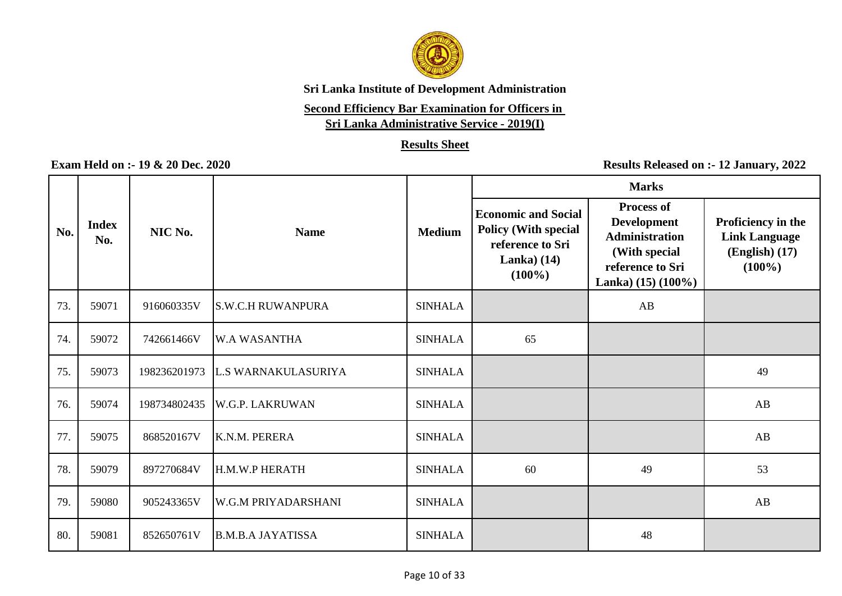

# **Second Efficiency Bar Examination for Officers in**

**Sri Lanka Administrative Service - 2019(I)**

### **Results Sheet**

|     |                     |              |                            |                | <b>Marks</b>                                                                                                |                                                                                                                                  |                                                                               |
|-----|---------------------|--------------|----------------------------|----------------|-------------------------------------------------------------------------------------------------------------|----------------------------------------------------------------------------------------------------------------------------------|-------------------------------------------------------------------------------|
| No. | <b>Index</b><br>No. | NIC No.      | <b>Name</b>                | <b>Medium</b>  | <b>Economic and Social</b><br><b>Policy (With special</b><br>reference to Sri<br>Lanka) $(14)$<br>$(100\%)$ | <b>Process of</b><br><b>Development</b><br><b>Administration</b><br>(With special<br>reference to Sri<br>Lanka) $(15)$ $(100\%)$ | Proficiency in the<br><b>Link Language</b><br>$(English)$ $(17)$<br>$(100\%)$ |
| 73. | 59071               | 916060335V   | <b>S.W.C.H RUWANPURA</b>   | <b>SINHALA</b> |                                                                                                             | AB                                                                                                                               |                                                                               |
| 74. | 59072               | 742661466V   | W.A WASANTHA               | <b>SINHALA</b> | 65                                                                                                          |                                                                                                                                  |                                                                               |
| 75. | 59073               | 198236201973 | <b>L.S WARNAKULASURIYA</b> | <b>SINHALA</b> |                                                                                                             |                                                                                                                                  | 49                                                                            |
| 76. | 59074               | 198734802435 | <b>W.G.P. LAKRUWAN</b>     | <b>SINHALA</b> |                                                                                                             |                                                                                                                                  | AB                                                                            |
| 77. | 59075               | 868520167V   | K.N.M. PERERA              | <b>SINHALA</b> |                                                                                                             |                                                                                                                                  | AB                                                                            |
| 78. | 59079               | 897270684V   | H.M.W.P HERATH             | <b>SINHALA</b> | 60                                                                                                          | 49                                                                                                                               | 53                                                                            |
| 79. | 59080               | 905243365V   | W.G.M PRIYADARSHANI        | <b>SINHALA</b> |                                                                                                             |                                                                                                                                  | AB                                                                            |
| 80. | 59081               | 852650761V   | <b>B.M.B.A JAYATISSA</b>   | <b>SINHALA</b> |                                                                                                             | 48                                                                                                                               |                                                                               |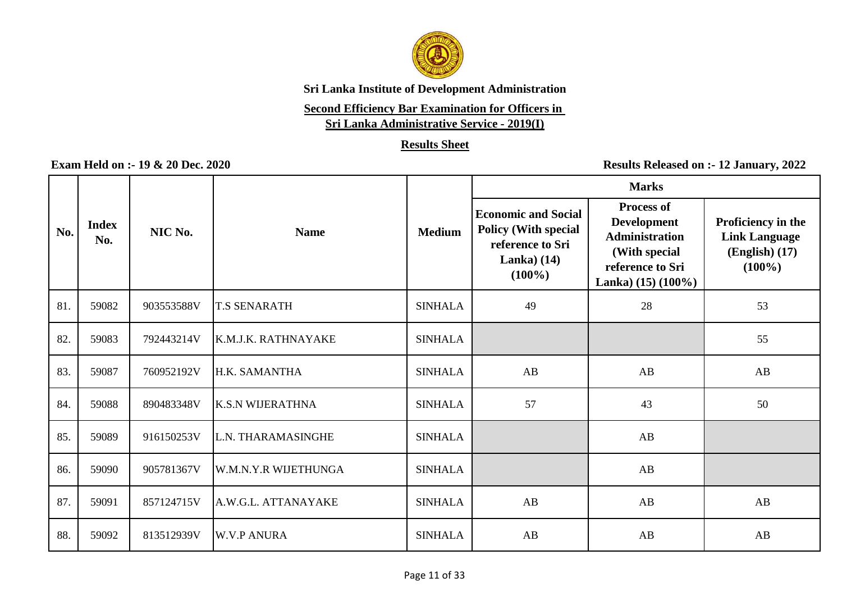

# **Second Efficiency Bar Examination for Officers in**

**Sri Lanka Administrative Service - 2019(I)**

### **Results Sheet**

|     |                     |            |                         |                |                                                                                                            | <b>Marks</b>                                                                                                                     |                                                                               |
|-----|---------------------|------------|-------------------------|----------------|------------------------------------------------------------------------------------------------------------|----------------------------------------------------------------------------------------------------------------------------------|-------------------------------------------------------------------------------|
| No. | <b>Index</b><br>No. | NIC No.    | <b>Name</b>             | <b>Medium</b>  | <b>Economic and Social</b><br><b>Policy (With special</b><br>reference to Sri<br>Lanka $(14)$<br>$(100\%)$ | <b>Process of</b><br><b>Development</b><br><b>Administration</b><br>(With special<br>reference to Sri<br>Lanka) $(15)$ $(100\%)$ | Proficiency in the<br><b>Link Language</b><br>$(English)$ $(17)$<br>$(100\%)$ |
| 81. | 59082               | 903553588V | <b>T.S SENARATH</b>     | <b>SINHALA</b> | 49                                                                                                         | 28                                                                                                                               | 53                                                                            |
| 82. | 59083               | 792443214V | K.M.J.K. RATHNAYAKE     | <b>SINHALA</b> |                                                                                                            |                                                                                                                                  | 55                                                                            |
| 83. | 59087               | 760952192V | H.K. SAMANTHA           | <b>SINHALA</b> | AB                                                                                                         | AB                                                                                                                               | AB                                                                            |
| 84. | 59088               | 890483348V | <b>K.S.N WIJERATHNA</b> | <b>SINHALA</b> | 57                                                                                                         | 43                                                                                                                               | 50                                                                            |
| 85. | 59089               | 916150253V | L.N. THARAMASINGHE      | <b>SINHALA</b> |                                                                                                            | AB                                                                                                                               |                                                                               |
| 86. | 59090               | 905781367V | W.M.N.Y.R WIJETHUNGA    | <b>SINHALA</b> |                                                                                                            | AB                                                                                                                               |                                                                               |
| 87. | 59091               | 857124715V | A.W.G.L. ATTANAYAKE     | <b>SINHALA</b> | AB                                                                                                         | AB                                                                                                                               | AB                                                                            |
| 88. | 59092               | 813512939V | <b>W.V.P ANURA</b>      | <b>SINHALA</b> | AB                                                                                                         | AB                                                                                                                               | AB                                                                            |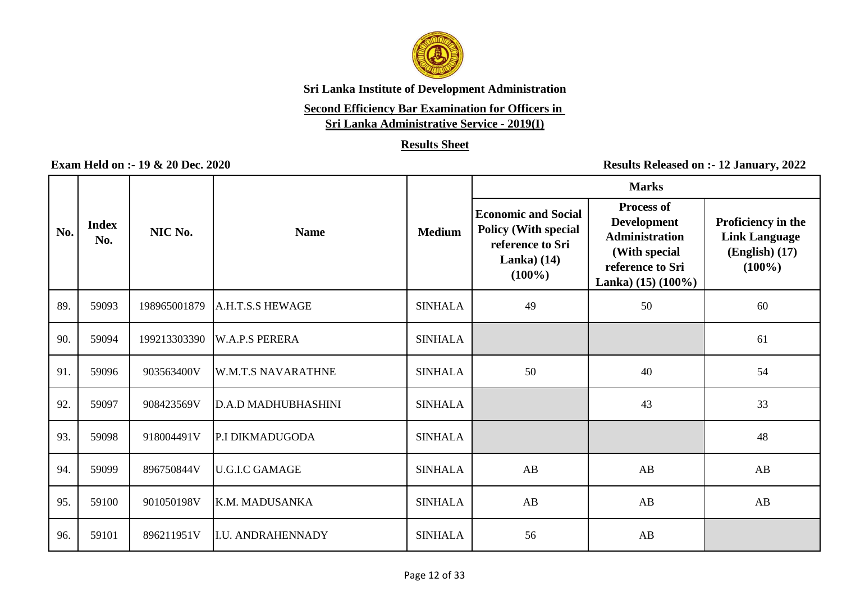

# **Second Efficiency Bar Examination for Officers in**

**Sri Lanka Administrative Service - 2019(I)**

### **Results Sheet**

|     |                     |              |                            |                | <b>Marks</b>                                                                                               |                                                                                                                                  |                                                                               |  |
|-----|---------------------|--------------|----------------------------|----------------|------------------------------------------------------------------------------------------------------------|----------------------------------------------------------------------------------------------------------------------------------|-------------------------------------------------------------------------------|--|
| No. | <b>Index</b><br>No. | NIC No.      | <b>Name</b>                | <b>Medium</b>  | <b>Economic and Social</b><br><b>Policy (With special</b><br>reference to Sri<br>Lanka $(14)$<br>$(100\%)$ | <b>Process of</b><br><b>Development</b><br><b>Administration</b><br>(With special<br>reference to Sri<br>Lanka) $(15)$ $(100\%)$ | Proficiency in the<br><b>Link Language</b><br>$(English)$ $(17)$<br>$(100\%)$ |  |
| 89. | 59093               | 198965001879 | A.H.T.S.S HEWAGE           | <b>SINHALA</b> | 49                                                                                                         | 50                                                                                                                               | 60                                                                            |  |
| 90. | 59094               | 199213303390 | <b>W.A.P.S PERERA</b>      | <b>SINHALA</b> |                                                                                                            |                                                                                                                                  | 61                                                                            |  |
| 91. | 59096               | 903563400V   | <b>W.M.T.S NAVARATHNE</b>  | <b>SINHALA</b> | 50                                                                                                         | 40                                                                                                                               | 54                                                                            |  |
| 92. | 59097               | 908423569V   | <b>D.A.D MADHUBHASHINI</b> | <b>SINHALA</b> |                                                                                                            | 43                                                                                                                               | 33                                                                            |  |
| 93. | 59098               | 918004491V   | P.I DIKMADUGODA            | <b>SINHALA</b> |                                                                                                            |                                                                                                                                  | 48                                                                            |  |
| 94. | 59099               | 896750844V   | <b>U.G.I.C GAMAGE</b>      | <b>SINHALA</b> | AB                                                                                                         | AB                                                                                                                               | $\mathbf{A}\mathbf{B}$                                                        |  |
| 95. | 59100               | 901050198V   | K.M. MADUSANKA             | <b>SINHALA</b> | AB                                                                                                         | AB                                                                                                                               | AB                                                                            |  |
| 96. | 59101               | 896211951V   | <b>I.U. ANDRAHENNADY</b>   | <b>SINHALA</b> | 56                                                                                                         | AB                                                                                                                               |                                                                               |  |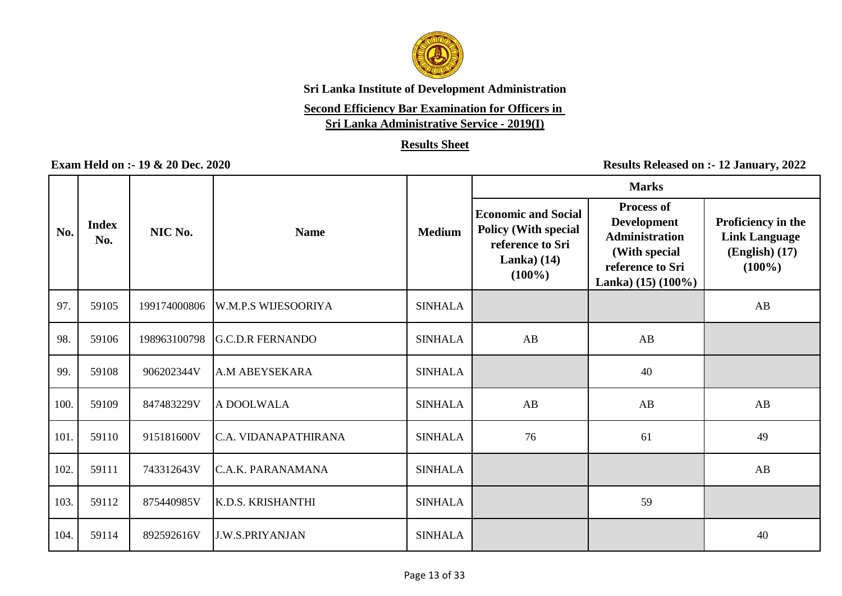

# **Second Efficiency Bar Examination for Officers in**

**Sri Lanka Administrative Service - 2019(I)**

### **Results Sheet**

|      |                     |              |                          |                | <b>Marks</b>                                                                                               |                                                                                                                                  |                                                                               |
|------|---------------------|--------------|--------------------------|----------------|------------------------------------------------------------------------------------------------------------|----------------------------------------------------------------------------------------------------------------------------------|-------------------------------------------------------------------------------|
| No.  | <b>Index</b><br>No. | NIC No.      | <b>Name</b>              | <b>Medium</b>  | <b>Economic and Social</b><br><b>Policy (With special</b><br>reference to Sri<br>Lanka $(14)$<br>$(100\%)$ | <b>Process of</b><br><b>Development</b><br><b>Administration</b><br>(With special<br>reference to Sri<br>Lanka) $(15)$ $(100\%)$ | Proficiency in the<br><b>Link Language</b><br>$(English)$ $(17)$<br>$(100\%)$ |
| 97.  | 59105               | 199174000806 | W.M.P.S WIJESOORIYA      | <b>SINHALA</b> |                                                                                                            |                                                                                                                                  | AB                                                                            |
| 98.  | 59106               | 198963100798 | <b>G.C.D.R FERNANDO</b>  | <b>SINHALA</b> | AB                                                                                                         | AB                                                                                                                               |                                                                               |
| 99.  | 59108               | 906202344V   | <b>A.M ABEYSEKARA</b>    | <b>SINHALA</b> |                                                                                                            | 40                                                                                                                               |                                                                               |
| 100. | 59109               | 847483229V   | A DOOLWALA               | <b>SINHALA</b> | AB                                                                                                         | AB                                                                                                                               | AB                                                                            |
| 101. | 59110               | 915181600V   | C.A. VIDANAPATHIRANA     | <b>SINHALA</b> | 76                                                                                                         | 61                                                                                                                               | 49                                                                            |
| 102. | 59111               | 743312643V   | IC.A.K. PARANAMANA       | <b>SINHALA</b> |                                                                                                            |                                                                                                                                  | AB                                                                            |
| 103. | 59112               | 875440985V   | <b>K.D.S. KRISHANTHI</b> | <b>SINHALA</b> |                                                                                                            | 59                                                                                                                               |                                                                               |
| 104. | 59114               | 892592616V   | <b>J.W.S.PRIYANJAN</b>   | <b>SINHALA</b> |                                                                                                            |                                                                                                                                  | 40                                                                            |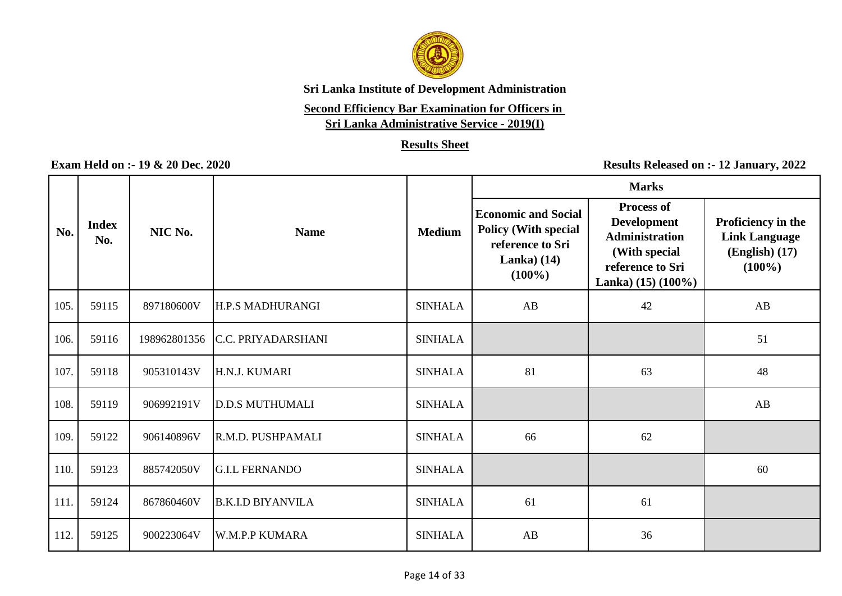

# **Second Efficiency Bar Examination for Officers in**

**Sri Lanka Administrative Service - 2019(I)**

### **Results Sheet**

|      |                     |              |                          |                | <b>Marks</b>                                                                                               |                                                                                                                                  |                                                                               |  |
|------|---------------------|--------------|--------------------------|----------------|------------------------------------------------------------------------------------------------------------|----------------------------------------------------------------------------------------------------------------------------------|-------------------------------------------------------------------------------|--|
| No.  | <b>Index</b><br>No. | NIC No.      | <b>Name</b>              | <b>Medium</b>  | <b>Economic and Social</b><br><b>Policy (With special</b><br>reference to Sri<br>Lanka $(14)$<br>$(100\%)$ | <b>Process of</b><br><b>Development</b><br><b>Administration</b><br>(With special<br>reference to Sri<br>Lanka) $(15)$ $(100\%)$ | Proficiency in the<br><b>Link Language</b><br>$(English)$ $(17)$<br>$(100\%)$ |  |
| 105. | 59115               | 897180600V   | H.P.S MADHURANGI         | <b>SINHALA</b> | AB                                                                                                         | 42                                                                                                                               | AB                                                                            |  |
| 106. | 59116               | 198962801356 | C.C. PRIYADARSHANI       | <b>SINHALA</b> |                                                                                                            |                                                                                                                                  | 51                                                                            |  |
| 107. | 59118               | 905310143V   | H.N.J. KUMARI            | <b>SINHALA</b> | 81                                                                                                         | 63                                                                                                                               | 48                                                                            |  |
| 108. | 59119               | 906992191V   | <b>D.D.S MUTHUMALI</b>   | <b>SINHALA</b> |                                                                                                            |                                                                                                                                  | AB                                                                            |  |
| 109. | 59122               | 906140896V   | R.M.D. PUSHPAMALI        | <b>SINHALA</b> | 66                                                                                                         | 62                                                                                                                               |                                                                               |  |
| 110. | 59123               | 885742050V   | <b>G.I.L FERNANDO</b>    | <b>SINHALA</b> |                                                                                                            |                                                                                                                                  | 60                                                                            |  |
| 111. | 59124               | 867860460V   | <b>B.K.I.D BIYANVILA</b> | <b>SINHALA</b> | 61                                                                                                         | 61                                                                                                                               |                                                                               |  |
| 112. | 59125               | 900223064V   | <b>W.M.P.P KUMARA</b>    | <b>SINHALA</b> | AB                                                                                                         | 36                                                                                                                               |                                                                               |  |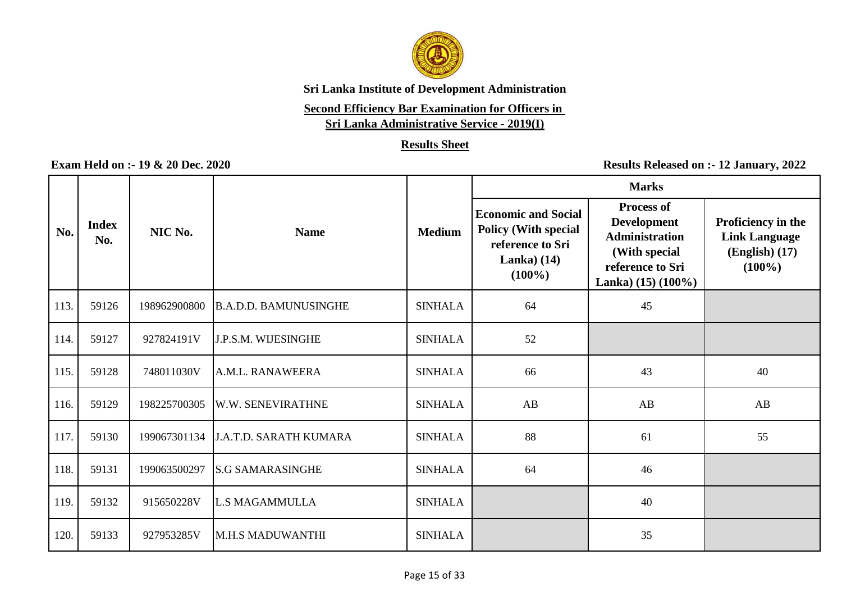

# **Second Efficiency Bar Examination for Officers in**

**Sri Lanka Administrative Service - 2019(I)**

### **Results Sheet**

|      |                     |              |                               |                | <b>Marks</b>                                                                                               |                                                                                                                                  |                                                                               |  |
|------|---------------------|--------------|-------------------------------|----------------|------------------------------------------------------------------------------------------------------------|----------------------------------------------------------------------------------------------------------------------------------|-------------------------------------------------------------------------------|--|
| No.  | <b>Index</b><br>No. | NIC No.      | <b>Name</b>                   | <b>Medium</b>  | <b>Economic and Social</b><br><b>Policy (With special</b><br>reference to Sri<br>Lanka $(14)$<br>$(100\%)$ | <b>Process of</b><br><b>Development</b><br><b>Administration</b><br>(With special<br>reference to Sri<br>Lanka) $(15)$ $(100\%)$ | Proficiency in the<br><b>Link Language</b><br>$(English)$ $(17)$<br>$(100\%)$ |  |
| 113. | 59126               | 198962900800 | <b>B.A.D.D. BAMUNUSINGHE</b>  | <b>SINHALA</b> | 64                                                                                                         | 45                                                                                                                               |                                                                               |  |
| 114. | 59127               | 927824191V   | <b>J.P.S.M. WIJESINGHE</b>    | <b>SINHALA</b> | 52                                                                                                         |                                                                                                                                  |                                                                               |  |
| 115. | 59128               | 748011030V   | A.M.L. RANAWEERA              | <b>SINHALA</b> | 66                                                                                                         | 43                                                                                                                               | 40                                                                            |  |
| 116. | 59129               | 198225700305 | W.W. SENEVIRATHNE             | <b>SINHALA</b> | AB                                                                                                         | AB                                                                                                                               | $\mathbf{A}\mathbf{B}$                                                        |  |
| 117. | 59130               | 199067301134 | <b>J.A.T.D. SARATH KUMARA</b> | <b>SINHALA</b> | 88                                                                                                         | 61                                                                                                                               | 55                                                                            |  |
| 118. | 59131               | 199063500297 | <b>S.G SAMARASINGHE</b>       | <b>SINHALA</b> | 64                                                                                                         | 46                                                                                                                               |                                                                               |  |
| 119. | 59132               | 915650228V   | <b>L.S MAGAMMULLA</b>         | <b>SINHALA</b> |                                                                                                            | 40                                                                                                                               |                                                                               |  |
| 120. | 59133               | 927953285V   | M.H.S MADUWANTHI              | <b>SINHALA</b> |                                                                                                            | 35                                                                                                                               |                                                                               |  |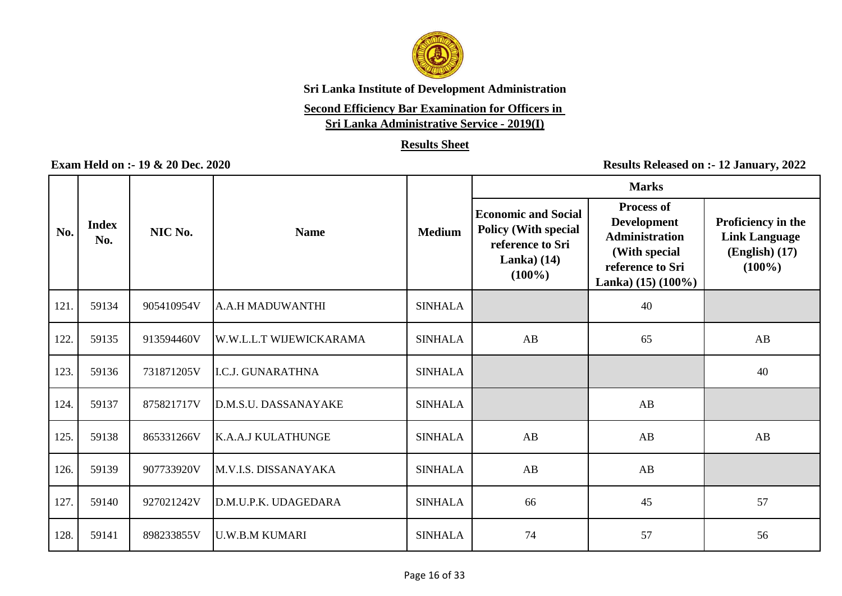

# **Second Efficiency Bar Examination for Officers in**

**Sri Lanka Administrative Service - 2019(I)**

### **Results Sheet**

|      |                     |            |                           |                |                                                                                                            | <b>Marks</b>                                                                                                                     |                                                                             |
|------|---------------------|------------|---------------------------|----------------|------------------------------------------------------------------------------------------------------------|----------------------------------------------------------------------------------------------------------------------------------|-----------------------------------------------------------------------------|
| No.  | <b>Index</b><br>No. | NIC No.    | <b>Name</b>               | <b>Medium</b>  | <b>Economic and Social</b><br><b>Policy (With special</b><br>reference to Sri<br>Lanka $(14)$<br>$(100\%)$ | <b>Process of</b><br><b>Development</b><br><b>Administration</b><br>(With special<br>reference to Sri<br>Lanka) $(15)$ $(100\%)$ | Proficiency in the<br><b>Link Language</b><br>$(English)$ (17)<br>$(100\%)$ |
| 121. | 59134               | 905410954V | A.A.H MADUWANTHI          | <b>SINHALA</b> |                                                                                                            | 40                                                                                                                               |                                                                             |
| 122. | 59135               | 913594460V | W.W.L.L.T WIJEWICKARAMA   | <b>SINHALA</b> | AB                                                                                                         | 65                                                                                                                               | AB                                                                          |
| 123. | 59136               | 731871205V | <b>I.C.J. GUNARATHNA</b>  | <b>SINHALA</b> |                                                                                                            |                                                                                                                                  | 40                                                                          |
| 124. | 59137               | 875821717V | D.M.S.U. DASSANAYAKE      | <b>SINHALA</b> |                                                                                                            | AB                                                                                                                               |                                                                             |
| 125. | 59138               | 865331266V | <b>K.A.A.J KULATHUNGE</b> | <b>SINHALA</b> | AB                                                                                                         | AB                                                                                                                               | AB                                                                          |
| 126. | 59139               | 907733920V | M.V.I.S. DISSANAYAKA      | <b>SINHALA</b> | AB                                                                                                         | AB                                                                                                                               |                                                                             |
| 127. | 59140               | 927021242V | D.M.U.P.K. UDAGEDARA      | <b>SINHALA</b> | 66                                                                                                         | 45                                                                                                                               | 57                                                                          |
| 128. | 59141               | 898233855V | <b>U.W.B.M KUMARI</b>     | <b>SINHALA</b> | 74                                                                                                         | 57                                                                                                                               | 56                                                                          |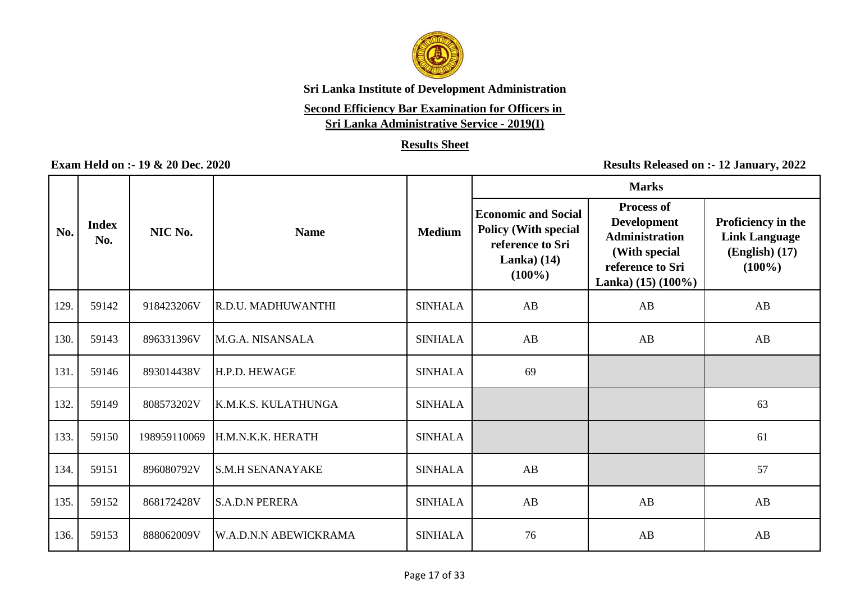

# **Second Efficiency Bar Examination for Officers in**

**Sri Lanka Administrative Service - 2019(I)**

### **Results Sheet**

|      |                     |              |                              |                | <b>Marks</b>                                                                                               |                                                                                                                                  |                                                                             |  |
|------|---------------------|--------------|------------------------------|----------------|------------------------------------------------------------------------------------------------------------|----------------------------------------------------------------------------------------------------------------------------------|-----------------------------------------------------------------------------|--|
| No.  | <b>Index</b><br>No. | NIC No.      | <b>Name</b>                  | <b>Medium</b>  | <b>Economic and Social</b><br><b>Policy (With special</b><br>reference to Sri<br>Lanka $(14)$<br>$(100\%)$ | <b>Process of</b><br><b>Development</b><br><b>Administration</b><br>(With special<br>reference to Sri<br>Lanka) $(15)$ $(100\%)$ | Proficiency in the<br><b>Link Language</b><br>$(English)$ (17)<br>$(100\%)$ |  |
| 129. | 59142               | 918423206V   | R.D.U. MADHUWANTHI           | <b>SINHALA</b> | AB                                                                                                         | AB                                                                                                                               | AB                                                                          |  |
| 130. | 59143               | 896331396V   | M.G.A. NISANSALA             | <b>SINHALA</b> | AB                                                                                                         | AB                                                                                                                               | AB                                                                          |  |
| 131. | 59146               | 893014438V   | H.P.D. HEWAGE                | <b>SINHALA</b> | 69                                                                                                         |                                                                                                                                  |                                                                             |  |
| 132. | 59149               | 808573202V   | K.M.K.S. KULATHUNGA          | <b>SINHALA</b> |                                                                                                            |                                                                                                                                  | 63                                                                          |  |
| 133. | 59150               | 198959110069 | H.M.N.K.K. HERATH            | <b>SINHALA</b> |                                                                                                            |                                                                                                                                  | 61                                                                          |  |
| 134. | 59151               | 896080792V   | <b>S.M.H SENANAYAKE</b>      | <b>SINHALA</b> | AB                                                                                                         |                                                                                                                                  | 57                                                                          |  |
| 135. | 59152               | 868172428V   | <b>S.A.D.N PERERA</b>        | <b>SINHALA</b> | AB                                                                                                         | AB                                                                                                                               | AB                                                                          |  |
| 136. | 59153               | 888062009V   | <b>W.A.D.N.N ABEWICKRAMA</b> | <b>SINHALA</b> | 76                                                                                                         | AB                                                                                                                               | AB                                                                          |  |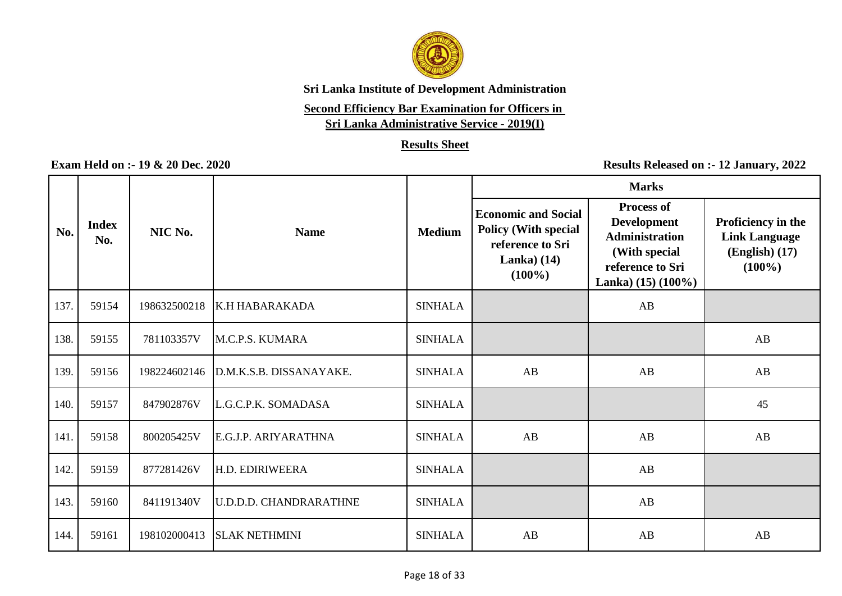

# **Second Efficiency Bar Examination for Officers in**

**Sri Lanka Administrative Service - 2019(I)**

### **Results Sheet**

|      |                     |              |                               |                | <b>Marks</b>                                                                                               |                                                                                                                                  |                                                                               |  |
|------|---------------------|--------------|-------------------------------|----------------|------------------------------------------------------------------------------------------------------------|----------------------------------------------------------------------------------------------------------------------------------|-------------------------------------------------------------------------------|--|
| No.  | <b>Index</b><br>No. | NIC No.      | <b>Name</b>                   | <b>Medium</b>  | <b>Economic and Social</b><br><b>Policy (With special</b><br>reference to Sri<br>Lanka $(14)$<br>$(100\%)$ | <b>Process of</b><br><b>Development</b><br><b>Administration</b><br>(With special<br>reference to Sri<br>Lanka) $(15)$ $(100\%)$ | Proficiency in the<br><b>Link Language</b><br>$(English)$ $(17)$<br>$(100\%)$ |  |
| 137. | 59154               | 198632500218 | K.H HABARAKADA                | <b>SINHALA</b> |                                                                                                            | AB                                                                                                                               |                                                                               |  |
| 138. | 59155               | 781103357V   | M.C.P.S. KUMARA               | <b>SINHALA</b> |                                                                                                            |                                                                                                                                  | AB                                                                            |  |
| 139. | 59156               | 198224602146 | D.M.K.S.B. DISSANAYAKE.       | <b>SINHALA</b> | AB                                                                                                         | AB                                                                                                                               | AB                                                                            |  |
| 140. | 59157               | 847902876V   | L.G.C.P.K. SOMADASA           | <b>SINHALA</b> |                                                                                                            |                                                                                                                                  | 45                                                                            |  |
| 141  | 59158               | 800205425V   | E.G.J.P. ARIYARATHNA          | <b>SINHALA</b> | AB                                                                                                         | AB                                                                                                                               | AB                                                                            |  |
| 142. | 59159               | 877281426V   | H.D. EDIRIWEERA               | <b>SINHALA</b> |                                                                                                            | AB                                                                                                                               |                                                                               |  |
| 143. | 59160               | 841191340V   | <b>U.D.D.D. CHANDRARATHNE</b> | <b>SINHALA</b> |                                                                                                            | AB                                                                                                                               |                                                                               |  |
| 144. | 59161               | 198102000413 | <b>SLAK NETHMINI</b>          | <b>SINHALA</b> | AB                                                                                                         | AB                                                                                                                               | AB                                                                            |  |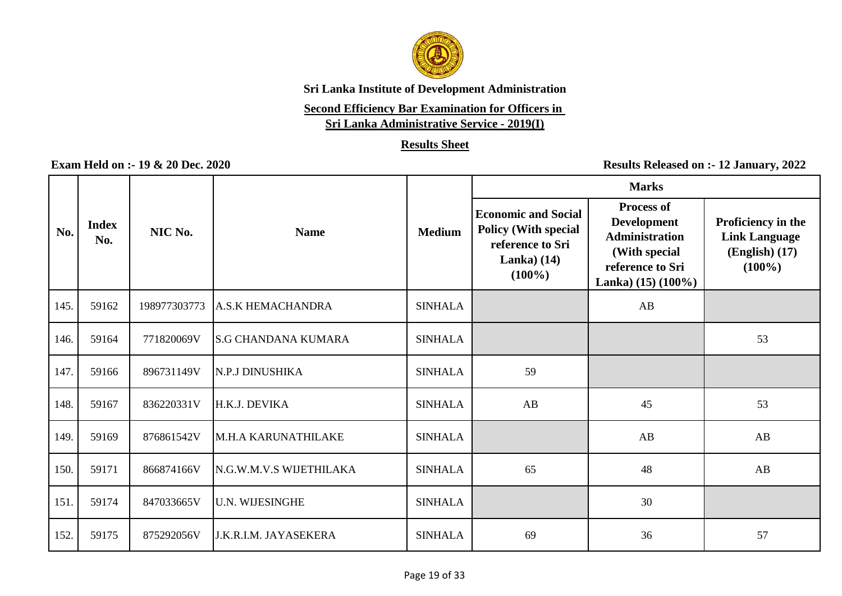

# **Second Efficiency Bar Examination for Officers in**

**Sri Lanka Administrative Service - 2019(I)**

### **Results Sheet**

|      |                     |              |                              |                |                                                                                                            | <b>Marks</b>                                                                                                                     |                                                                               |
|------|---------------------|--------------|------------------------------|----------------|------------------------------------------------------------------------------------------------------------|----------------------------------------------------------------------------------------------------------------------------------|-------------------------------------------------------------------------------|
| No.  | <b>Index</b><br>No. | NIC No.      | <b>Name</b>                  | <b>Medium</b>  | <b>Economic and Social</b><br><b>Policy (With special</b><br>reference to Sri<br>Lanka $(14)$<br>$(100\%)$ | <b>Process of</b><br><b>Development</b><br><b>Administration</b><br>(With special<br>reference to Sri<br>Lanka) $(15)$ $(100\%)$ | Proficiency in the<br><b>Link Language</b><br>$(English)$ $(17)$<br>$(100\%)$ |
| 145. | 59162               | 198977303773 | <b>A.S.K HEMACHANDRA</b>     | <b>SINHALA</b> |                                                                                                            | AB                                                                                                                               |                                                                               |
| 146. | 59164               | 771820069V   | <b>S.G CHANDANA KUMARA</b>   | <b>SINHALA</b> |                                                                                                            |                                                                                                                                  | 53                                                                            |
| 147. | 59166               | 896731149V   | N.P.J DINUSHIKA              | <b>SINHALA</b> | 59                                                                                                         |                                                                                                                                  |                                                                               |
| 148. | 59167               | 836220331V   | H.K.J. DEVIKA                | <b>SINHALA</b> | AB                                                                                                         | 45                                                                                                                               | 53                                                                            |
| 149. | 59169               | 876861542V   | M.H.A KARUNATHILAKE          | <b>SINHALA</b> |                                                                                                            | AB                                                                                                                               | AB                                                                            |
| 150. | 59171               | 866874166V   | N.G.W.M.V.S WIJETHILAKA      | <b>SINHALA</b> | 65                                                                                                         | 48                                                                                                                               | AB                                                                            |
| 151. | 59174               | 847033665V   | <b>U.N. WIJESINGHE</b>       | <b>SINHALA</b> |                                                                                                            | 30                                                                                                                               |                                                                               |
| 152. | 59175               | 875292056V   | <b>J.K.R.I.M. JAYASEKERA</b> | <b>SINHALA</b> | 69                                                                                                         | 36                                                                                                                               | 57                                                                            |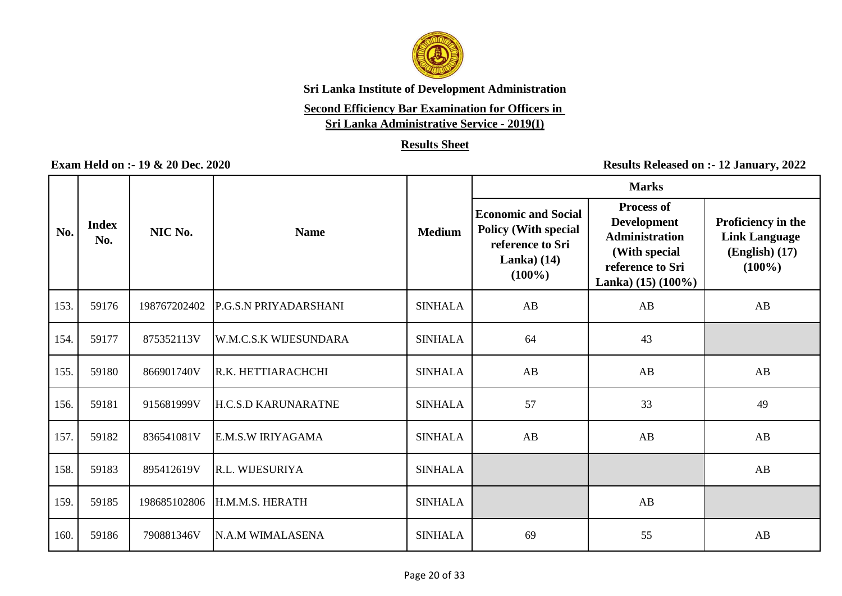

# **Second Efficiency Bar Examination for Officers in**

**Sri Lanka Administrative Service - 2019(I)**

### **Results Sheet**

|      |                     |              |                              |                | <b>Marks</b>                                                                                               |                                                                                                                                  |                                                                               |  |
|------|---------------------|--------------|------------------------------|----------------|------------------------------------------------------------------------------------------------------------|----------------------------------------------------------------------------------------------------------------------------------|-------------------------------------------------------------------------------|--|
| No.  | <b>Index</b><br>No. | NIC No.      | <b>Name</b>                  | <b>Medium</b>  | <b>Economic and Social</b><br><b>Policy (With special</b><br>reference to Sri<br>Lanka $(14)$<br>$(100\%)$ | <b>Process of</b><br><b>Development</b><br><b>Administration</b><br>(With special<br>reference to Sri<br>Lanka) $(15)$ $(100\%)$ | Proficiency in the<br><b>Link Language</b><br>$(English)$ $(17)$<br>$(100\%)$ |  |
| 153. | 59176               | 198767202402 | P.G.S.N PRIYADARSHANI        | <b>SINHALA</b> | AB                                                                                                         | AB                                                                                                                               | AB                                                                            |  |
| 154. | 59177               | 875352113V   | <b>W.M.C.S.K WIJESUNDARA</b> | <b>SINHALA</b> | 64                                                                                                         | 43                                                                                                                               |                                                                               |  |
| 155. | 59180               | 866901740V   | R.K. HETTIARACHCHI           | <b>SINHALA</b> | AB                                                                                                         | AB                                                                                                                               | AB                                                                            |  |
| 156. | 59181               | 915681999V   | <b>H.C.S.D KARUNARATNE</b>   | <b>SINHALA</b> | 57                                                                                                         | 33                                                                                                                               | 49                                                                            |  |
| 157. | 59182               | 836541081V   | E.M.S.W IRIYAGAMA            | <b>SINHALA</b> | AB                                                                                                         | AB                                                                                                                               | AB                                                                            |  |
| 158. | 59183               | 895412619V   | R.L. WIJESURIYA              | <b>SINHALA</b> |                                                                                                            |                                                                                                                                  | AB                                                                            |  |
| 159. | 59185               | 198685102806 | H.M.M.S. HERATH              | <b>SINHALA</b> |                                                                                                            | AB                                                                                                                               |                                                                               |  |
| 160. | 59186               | 790881346V   | N.A.M WIMALASENA             | <b>SINHALA</b> | 69                                                                                                         | 55                                                                                                                               | AB                                                                            |  |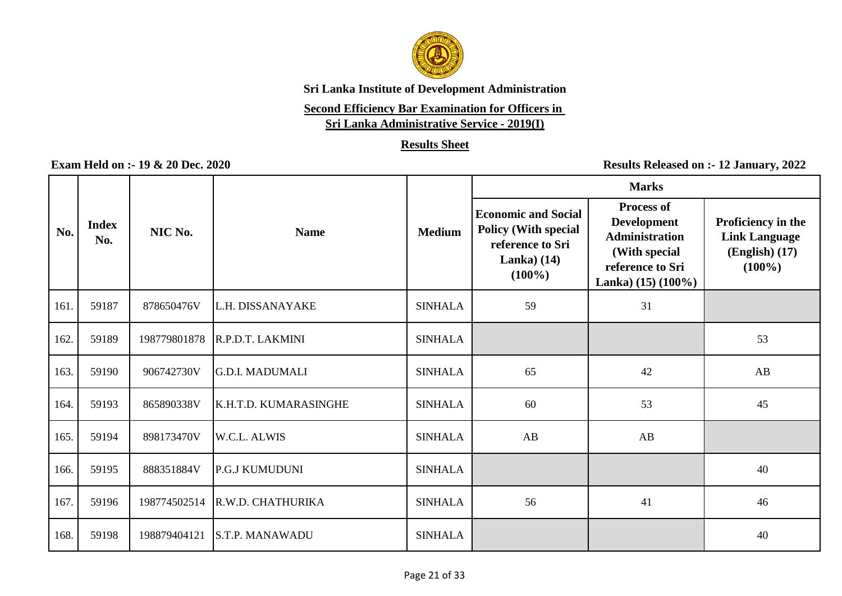

# **Second Efficiency Bar Examination for Officers in**

**Sri Lanka Administrative Service - 2019(I)**

### **Results Sheet**

|      |                     |              |                        |                | <b>Marks</b>                                                                                               |                                                                                                                                  |                                                                               |  |
|------|---------------------|--------------|------------------------|----------------|------------------------------------------------------------------------------------------------------------|----------------------------------------------------------------------------------------------------------------------------------|-------------------------------------------------------------------------------|--|
| No.  | <b>Index</b><br>No. | NIC No.      | <b>Name</b>            | <b>Medium</b>  | <b>Economic and Social</b><br><b>Policy (With special</b><br>reference to Sri<br>Lanka $(14)$<br>$(100\%)$ | <b>Process of</b><br><b>Development</b><br><b>Administration</b><br>(With special<br>reference to Sri<br>Lanka) $(15)$ $(100\%)$ | Proficiency in the<br><b>Link Language</b><br>$(English)$ $(17)$<br>$(100\%)$ |  |
| 161. | 59187               | 878650476V   | L.H. DISSANAYAKE       | <b>SINHALA</b> | 59                                                                                                         | 31                                                                                                                               |                                                                               |  |
| 162. | 59189               | 198779801878 | R.P.D.T. LAKMINI       | <b>SINHALA</b> |                                                                                                            |                                                                                                                                  | 53                                                                            |  |
| 163. | 59190               | 906742730V   | <b>G.D.I. MADUMALI</b> | <b>SINHALA</b> | 65                                                                                                         | 42                                                                                                                               | AB                                                                            |  |
| 164. | 59193               | 865890338V   | K.H.T.D. KUMARASINGHE  | <b>SINHALA</b> | 60                                                                                                         | 53                                                                                                                               | 45                                                                            |  |
| 165. | 59194               | 898173470V   | W.C.L. ALWIS           | <b>SINHALA</b> | AB                                                                                                         | AB                                                                                                                               |                                                                               |  |
| 166. | 59195               | 888351884V   | P.G.J KUMUDUNI         | <b>SINHALA</b> |                                                                                                            |                                                                                                                                  | 40                                                                            |  |
| 167. | 59196               | 198774502514 | R.W.D. CHATHURIKA      | <b>SINHALA</b> | 56                                                                                                         | 41                                                                                                                               | 46                                                                            |  |
| 168. | 59198               | 198879404121 | <b>S.T.P. MANAWADU</b> | <b>SINHALA</b> |                                                                                                            |                                                                                                                                  | 40                                                                            |  |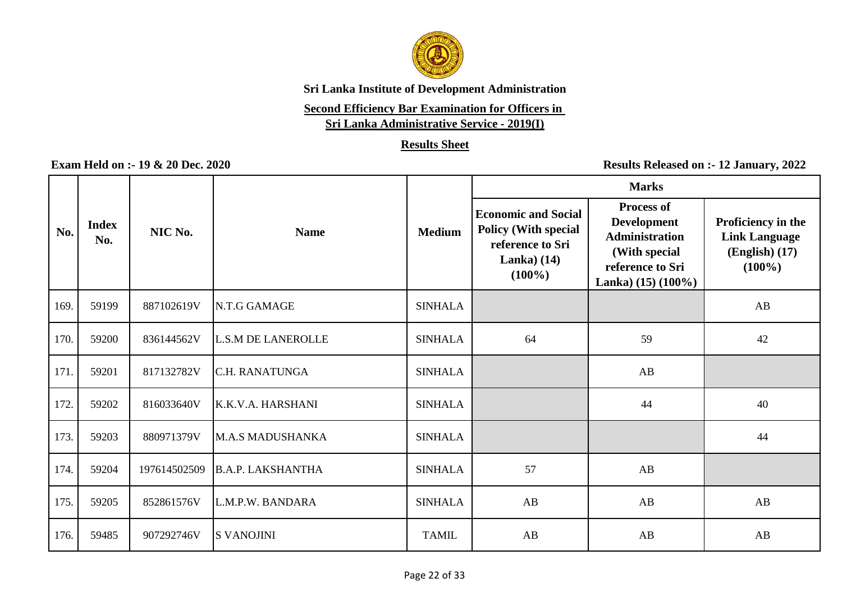

# **Second Efficiency Bar Examination for Officers in**

**Sri Lanka Administrative Service - 2019(I)**

### **Results Sheet**

|      |                     |              |                           |                | <b>Marks</b>                                                                                               |                                                                                                                                  |                                                                             |  |
|------|---------------------|--------------|---------------------------|----------------|------------------------------------------------------------------------------------------------------------|----------------------------------------------------------------------------------------------------------------------------------|-----------------------------------------------------------------------------|--|
| No.  | <b>Index</b><br>No. | NIC No.      | <b>Name</b>               | <b>Medium</b>  | <b>Economic and Social</b><br><b>Policy (With special</b><br>reference to Sri<br>Lanka $(14)$<br>$(100\%)$ | <b>Process of</b><br><b>Development</b><br><b>Administration</b><br>(With special<br>reference to Sri<br>Lanka) $(15)$ $(100\%)$ | Proficiency in the<br><b>Link Language</b><br>$(English)$ (17)<br>$(100\%)$ |  |
| 169. | 59199               | 887102619V   | N.T.G GAMAGE              | <b>SINHALA</b> |                                                                                                            |                                                                                                                                  | AB                                                                          |  |
| 170. | 59200               | 836144562V   | <b>L.S.M DE LANEROLLE</b> | <b>SINHALA</b> | 64                                                                                                         | 59                                                                                                                               | 42                                                                          |  |
| 171. | 59201               | 817132782V   | <b>C.H. RANATUNGA</b>     | <b>SINHALA</b> |                                                                                                            | AB                                                                                                                               |                                                                             |  |
| 172. | 59202               | 816033640V   | K.K.V.A. HARSHANI         | <b>SINHALA</b> |                                                                                                            | 44                                                                                                                               | 40                                                                          |  |
| 173. | 59203               | 880971379V   | <b>M.A.S MADUSHANKA</b>   | <b>SINHALA</b> |                                                                                                            |                                                                                                                                  | 44                                                                          |  |
| 174. | 59204               | 197614502509 | <b>B.A.P. LAKSHANTHA</b>  | <b>SINHALA</b> | 57                                                                                                         | AB                                                                                                                               |                                                                             |  |
| 175. | 59205               | 852861576V   | L.M.P.W. BANDARA          | <b>SINHALA</b> | AB                                                                                                         | AB                                                                                                                               | AB                                                                          |  |
| 176. | 59485               | 907292746V   | <b>S VANOJINI</b>         | <b>TAMIL</b>   | AB                                                                                                         | AB                                                                                                                               | AB                                                                          |  |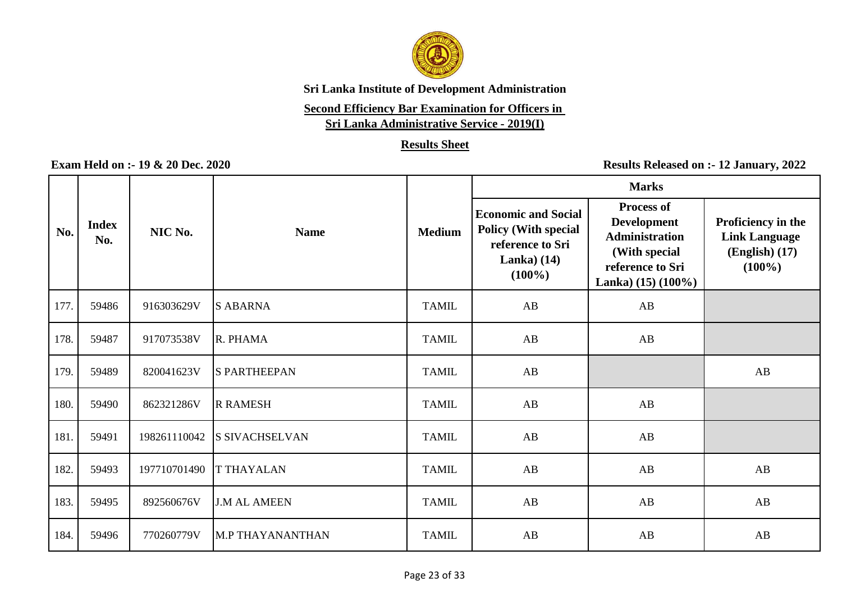

# **Second Efficiency Bar Examination for Officers in**

**Sri Lanka Administrative Service - 2019(I)**

### **Results Sheet**

|      |                     |              |                       |               | <b>Marks</b>                                                                                               |                                                                                                                                  |                                                                               |  |
|------|---------------------|--------------|-----------------------|---------------|------------------------------------------------------------------------------------------------------------|----------------------------------------------------------------------------------------------------------------------------------|-------------------------------------------------------------------------------|--|
| No.  | <b>Index</b><br>No. | NIC No.      | <b>Name</b>           | <b>Medium</b> | <b>Economic and Social</b><br><b>Policy (With special</b><br>reference to Sri<br>Lanka $(14)$<br>$(100\%)$ | <b>Process of</b><br><b>Development</b><br><b>Administration</b><br>(With special<br>reference to Sri<br>Lanka) $(15)$ $(100\%)$ | Proficiency in the<br><b>Link Language</b><br>$(English)$ $(17)$<br>$(100\%)$ |  |
| 177. | 59486               | 916303629V   | <b>S ABARNA</b>       | <b>TAMIL</b>  | AB                                                                                                         | AB                                                                                                                               |                                                                               |  |
| 178. | 59487               | 917073538V   | R. PHAMA              | <b>TAMIL</b>  | AB                                                                                                         | AB                                                                                                                               |                                                                               |  |
| 179. | 59489               | 820041623V   | <b>S PARTHEEPAN</b>   | <b>TAMIL</b>  | AB                                                                                                         |                                                                                                                                  | $\mathbf{A}\mathbf{B}$                                                        |  |
| 180. | 59490               | 862321286V   | <b>R RAMESH</b>       | <b>TAMIL</b>  | AB                                                                                                         | AB                                                                                                                               |                                                                               |  |
| 181. | 59491               | 198261110042 | <b>S SIVACHSELVAN</b> | <b>TAMIL</b>  | AB                                                                                                         | AB                                                                                                                               |                                                                               |  |
| 182. | 59493               | 197710701490 | <b>T THAYALAN</b>     | <b>TAMIL</b>  | AB                                                                                                         | AB                                                                                                                               | AB                                                                            |  |
| 183. | 59495               | 892560676V   | <b>J.M AL AMEEN</b>   | <b>TAMIL</b>  | AB                                                                                                         | AB                                                                                                                               | AB                                                                            |  |
| 184. | 59496               | 770260779V   | M.P THAYANANTHAN      | <b>TAMIL</b>  | AB                                                                                                         | AB                                                                                                                               | AB                                                                            |  |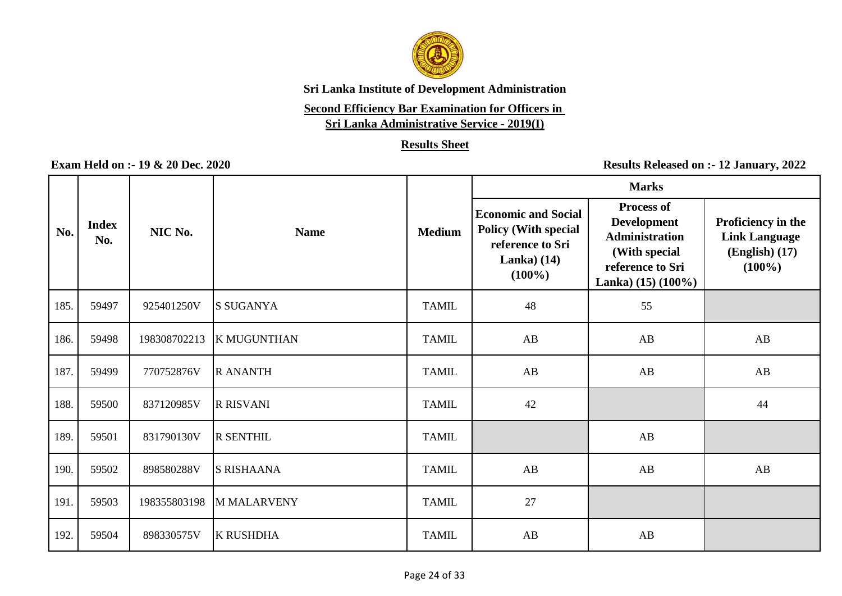

## **Second Efficiency Bar Examination for Officers in**

**Sri Lanka Administrative Service - 2019(I)**

### **Results Sheet**

|      |                     |              |                    |               | <b>Marks</b>                                                                                               |                                                                                                                                  |                                                                               |  |
|------|---------------------|--------------|--------------------|---------------|------------------------------------------------------------------------------------------------------------|----------------------------------------------------------------------------------------------------------------------------------|-------------------------------------------------------------------------------|--|
| No.  | <b>Index</b><br>No. | NIC No.      | <b>Name</b>        | <b>Medium</b> | <b>Economic and Social</b><br><b>Policy (With special</b><br>reference to Sri<br>Lanka $(14)$<br>$(100\%)$ | <b>Process of</b><br><b>Development</b><br><b>Administration</b><br>(With special<br>reference to Sri<br>Lanka) $(15)$ $(100\%)$ | Proficiency in the<br><b>Link Language</b><br>$(English)$ $(17)$<br>$(100\%)$ |  |
| 185. | 59497               | 925401250V   | <b>S SUGANYA</b>   | <b>TAMIL</b>  | 48                                                                                                         | 55                                                                                                                               |                                                                               |  |
| 186. | 59498               | 198308702213 | <b>K MUGUNTHAN</b> | <b>TAMIL</b>  | AB                                                                                                         | AB                                                                                                                               | AB                                                                            |  |
| 187. | 59499               | 770752876V   | <b>R ANANTH</b>    | <b>TAMIL</b>  | AB                                                                                                         | AB                                                                                                                               | AB                                                                            |  |
| 188. | 59500               | 837120985V   | <b>R RISVANI</b>   | <b>TAMIL</b>  | 42                                                                                                         |                                                                                                                                  | 44                                                                            |  |
| 189. | 59501               | 831790130V   | <b>R SENTHIL</b>   | <b>TAMIL</b>  |                                                                                                            | AB                                                                                                                               |                                                                               |  |
| 190. | 59502               | 898580288V   | <b>S RISHAANA</b>  | <b>TAMIL</b>  | AB                                                                                                         | AB                                                                                                                               | AB                                                                            |  |
| 191. | 59503               | 198355803198 | <b>MMALARVENY</b>  | <b>TAMIL</b>  | 27                                                                                                         |                                                                                                                                  |                                                                               |  |
| 192. | 59504               | 898330575V   | <b>K RUSHDHA</b>   | <b>TAMIL</b>  | AB                                                                                                         | AB                                                                                                                               |                                                                               |  |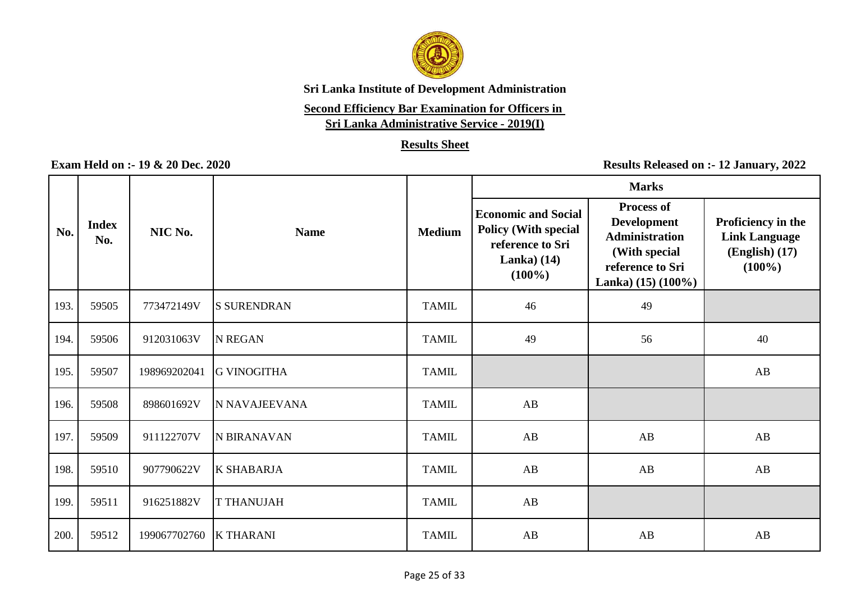

# **Second Efficiency Bar Examination for Officers in**

**Sri Lanka Administrative Service - 2019(I)**

### **Results Sheet**

|      |                     |              |                    |               | <b>Marks</b>                                                                                               |                                                                                                                                  |                                                                             |
|------|---------------------|--------------|--------------------|---------------|------------------------------------------------------------------------------------------------------------|----------------------------------------------------------------------------------------------------------------------------------|-----------------------------------------------------------------------------|
| No.  | <b>Index</b><br>No. | NIC No.      | <b>Name</b>        | <b>Medium</b> | <b>Economic and Social</b><br><b>Policy (With special</b><br>reference to Sri<br>Lanka $(14)$<br>$(100\%)$ | <b>Process of</b><br><b>Development</b><br><b>Administration</b><br>(With special<br>reference to Sri<br>Lanka) $(15)$ $(100\%)$ | Proficiency in the<br><b>Link Language</b><br>$(English)$ (17)<br>$(100\%)$ |
| 193. | 59505               | 773472149V   | <b>S SURENDRAN</b> | <b>TAMIL</b>  | 46                                                                                                         | 49                                                                                                                               |                                                                             |
| 194. | 59506               | 912031063V   | <b>N REGAN</b>     | <b>TAMIL</b>  | 49                                                                                                         | 56                                                                                                                               | 40                                                                          |
| 195. | 59507               | 198969202041 | <b>G VINOGITHA</b> | <b>TAMIL</b>  |                                                                                                            |                                                                                                                                  | AB                                                                          |
| 196. | 59508               | 898601692V   | N NAVAJEEVANA      | <b>TAMIL</b>  | AB                                                                                                         |                                                                                                                                  |                                                                             |
| 197. | 59509               | 911122707V   | N BIRANAVAN        | <b>TAMIL</b>  | AB                                                                                                         | AB                                                                                                                               | AB                                                                          |
| 198. | 59510               | 907790622V   | <b>K SHABARJA</b>  | <b>TAMIL</b>  | AB                                                                                                         | AB                                                                                                                               | AB                                                                          |
| 199. | 59511               | 916251882V   | <b>T THANUJAH</b>  | <b>TAMIL</b>  | AB                                                                                                         |                                                                                                                                  |                                                                             |
| 200. | 59512               | 199067702760 | <b>K THARANI</b>   | <b>TAMIL</b>  | AB                                                                                                         | AB                                                                                                                               | AB                                                                          |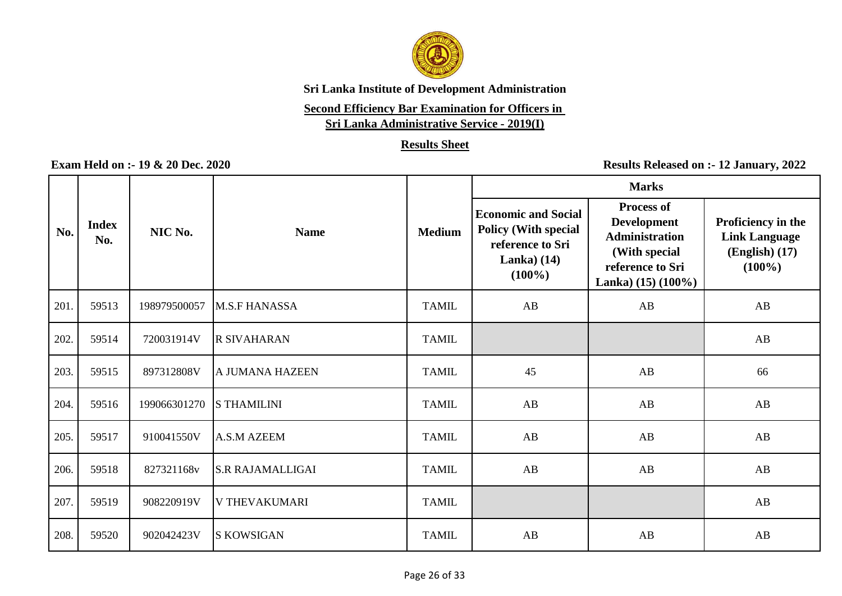

# **Second Efficiency Bar Examination for Officers in**

**Sri Lanka Administrative Service - 2019(I)**

### **Results Sheet**

|      |                     |              |                         |               | <b>Marks</b>                                                                                                |                                                                                                                                  |                                                                             |
|------|---------------------|--------------|-------------------------|---------------|-------------------------------------------------------------------------------------------------------------|----------------------------------------------------------------------------------------------------------------------------------|-----------------------------------------------------------------------------|
| No.  | <b>Index</b><br>No. | NIC No.      | <b>Name</b>             | <b>Medium</b> | <b>Economic and Social</b><br><b>Policy (With special</b><br>reference to Sri<br>Lanka) $(14)$<br>$(100\%)$ | <b>Process of</b><br><b>Development</b><br><b>Administration</b><br>(With special<br>reference to Sri<br>Lanka) $(15)$ $(100\%)$ | Proficiency in the<br><b>Link Language</b><br>$(English)$ (17)<br>$(100\%)$ |
| 201. | 59513               | 198979500057 | M.S.F HANASSA           | <b>TAMIL</b>  | AB                                                                                                          | AB                                                                                                                               | AB                                                                          |
| 202. | 59514               | 720031914V   | <b>R SIVAHARAN</b>      | <b>TAMIL</b>  |                                                                                                             |                                                                                                                                  | AB                                                                          |
| 203. | 59515               | 897312808V   | A JUMANA HAZEEN         | <b>TAMIL</b>  | 45                                                                                                          | AB                                                                                                                               | 66                                                                          |
| 204. | 59516               | 199066301270 | <b>S THAMILINI</b>      | <b>TAMIL</b>  | AB                                                                                                          | AB                                                                                                                               | AB                                                                          |
| 205. | 59517               | 910041550V   | A.S.M AZEEM             | <b>TAMIL</b>  | AB                                                                                                          | AB                                                                                                                               | AB                                                                          |
| 206. | 59518               | 827321168v   | <b>S.R RAJAMALLIGAI</b> | <b>TAMIL</b>  | AB                                                                                                          | AB                                                                                                                               | AB                                                                          |
| 207. | 59519               | 908220919V   | <b>V THEVAKUMARI</b>    | <b>TAMIL</b>  |                                                                                                             |                                                                                                                                  | AB                                                                          |
| 208. | 59520               | 902042423V   | <b>S KOWSIGAN</b>       | <b>TAMIL</b>  | AB                                                                                                          | AB                                                                                                                               | AB                                                                          |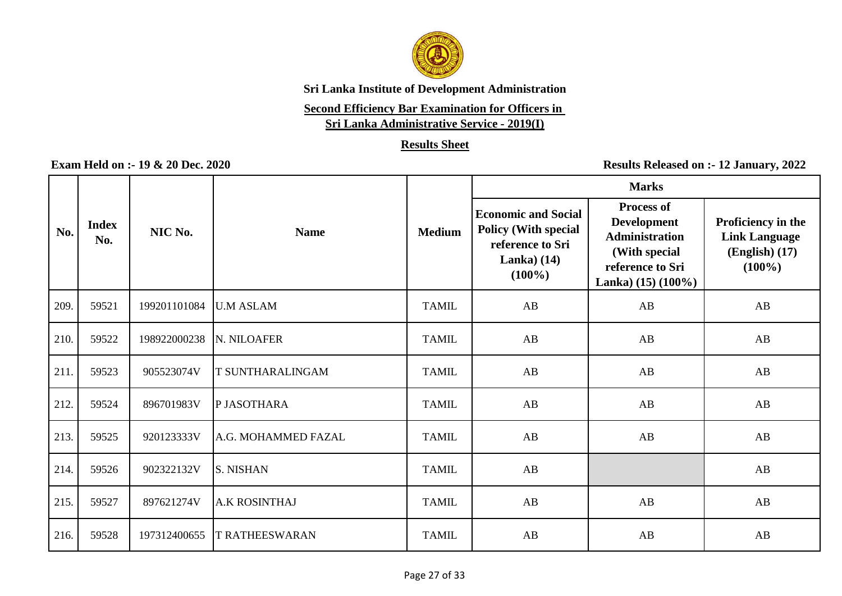

### **Second Efficiency Bar Examination for Officers in**

**Sri Lanka Administrative Service - 2019(I)**

### **Results Sheet**

|      |                     |              |                         |               | <b>Marks</b>                                                                                               |                                                                                                                                  |                                                                             |  |
|------|---------------------|--------------|-------------------------|---------------|------------------------------------------------------------------------------------------------------------|----------------------------------------------------------------------------------------------------------------------------------|-----------------------------------------------------------------------------|--|
| No.  | <b>Index</b><br>No. | NIC No.      | <b>Name</b>             | <b>Medium</b> | <b>Economic and Social</b><br><b>Policy (With special</b><br>reference to Sri<br>Lanka $(14)$<br>$(100\%)$ | <b>Process of</b><br><b>Development</b><br><b>Administration</b><br>(With special<br>reference to Sri<br>Lanka) $(15)$ $(100\%)$ | Proficiency in the<br><b>Link Language</b><br>$(English)$ (17)<br>$(100\%)$ |  |
| 209. | 59521               | 199201101084 | <b>U.M ASLAM</b>        | <b>TAMIL</b>  | AB                                                                                                         | AB                                                                                                                               | AB                                                                          |  |
| 210. | 59522               | 198922000238 | <b>N. NILOAFER</b>      | <b>TAMIL</b>  | AB                                                                                                         | AB                                                                                                                               | AB                                                                          |  |
| 211. | 59523               | 905523074V   | <b>T SUNTHARALINGAM</b> | <b>TAMIL</b>  | AB                                                                                                         | AB                                                                                                                               | AB                                                                          |  |
| 212. | 59524               | 896701983V   | P JASOTHARA             | <b>TAMIL</b>  | AB                                                                                                         | AB                                                                                                                               | AB                                                                          |  |
| 213. | 59525               | 920123333V   | A.G. MOHAMMED FAZAL     | <b>TAMIL</b>  | AB                                                                                                         | AB                                                                                                                               | AB                                                                          |  |
| 214. | 59526               | 902322132V   | <b>S. NISHAN</b>        | <b>TAMIL</b>  | AB                                                                                                         |                                                                                                                                  | AB                                                                          |  |
| 215. | 59527               | 897621274V   | <b>A.K ROSINTHAJ</b>    | <b>TAMIL</b>  | AB                                                                                                         | AB                                                                                                                               | AB                                                                          |  |
| 216. | 59528               | 197312400655 | <b>T RATHEESWARAN</b>   | <b>TAMIL</b>  | AB                                                                                                         | AB                                                                                                                               | $\mathbf{A}\mathbf{B}$                                                      |  |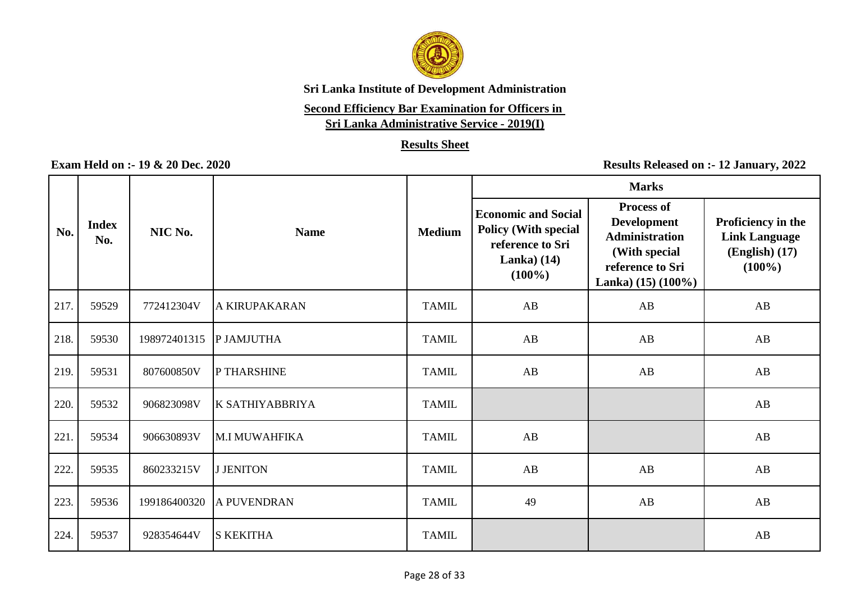

# **Second Efficiency Bar Examination for Officers in**

**Sri Lanka Administrative Service - 2019(I)**

### **Results Sheet**

|      |                     |              |                        |               | <b>Marks</b>                                                                                               |                                                                                                                                  |                                                                             |  |
|------|---------------------|--------------|------------------------|---------------|------------------------------------------------------------------------------------------------------------|----------------------------------------------------------------------------------------------------------------------------------|-----------------------------------------------------------------------------|--|
| No.  | <b>Index</b><br>No. | NIC No.      | <b>Name</b>            | <b>Medium</b> | <b>Economic and Social</b><br><b>Policy (With special</b><br>reference to Sri<br>Lanka $(14)$<br>$(100\%)$ | <b>Process of</b><br><b>Development</b><br><b>Administration</b><br>(With special<br>reference to Sri<br>Lanka) $(15)$ $(100\%)$ | Proficiency in the<br><b>Link Language</b><br>$(English)$ (17)<br>$(100\%)$ |  |
| 217. | 59529               | 772412304V   | <b>A KIRUPAKARAN</b>   | <b>TAMIL</b>  | AB                                                                                                         | AB                                                                                                                               | AB                                                                          |  |
| 218. | 59530               | 198972401315 | P JAMJUTHA             | <b>TAMIL</b>  | AB                                                                                                         | AB                                                                                                                               | AB                                                                          |  |
| 219. | 59531               | 807600850V   | P THARSHINE            | <b>TAMIL</b>  | AB                                                                                                         | AB                                                                                                                               | AB                                                                          |  |
| 220. | 59532               | 906823098V   | <b>K SATHIYABBRIYA</b> | <b>TAMIL</b>  |                                                                                                            |                                                                                                                                  | AB                                                                          |  |
| 221  | 59534               | 906630893V   | <b>M.I MUWAHFIKA</b>   | <b>TAMIL</b>  | AB                                                                                                         |                                                                                                                                  | AB                                                                          |  |
| 222. | 59535               | 860233215V   | <b>J JENITON</b>       | <b>TAMIL</b>  | AB                                                                                                         | AB                                                                                                                               | AB                                                                          |  |
| 223. | 59536               | 199186400320 | A PUVENDRAN            | <b>TAMIL</b>  | 49                                                                                                         | AB                                                                                                                               | AB                                                                          |  |
| 224. | 59537               | 928354644V   | <b>S KEKITHA</b>       | <b>TAMIL</b>  |                                                                                                            |                                                                                                                                  | $\mathbf{A}\mathbf{B}$                                                      |  |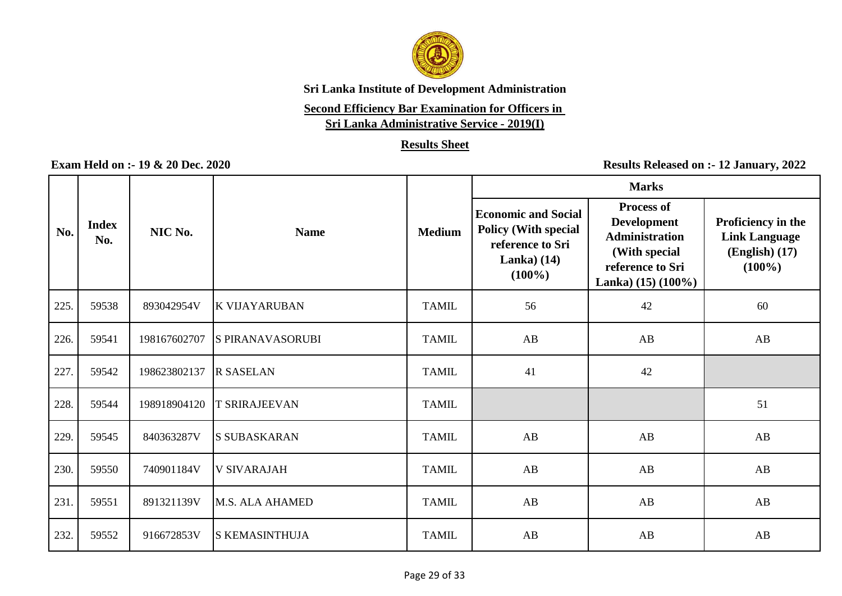

# **Second Efficiency Bar Examination for Officers in**

**Sri Lanka Administrative Service - 2019(I)**

### **Results Sheet**

|      |                     |              |                         |               | <b>Marks</b>                                                                                               |                                                                                                                                  |                                                                               |  |
|------|---------------------|--------------|-------------------------|---------------|------------------------------------------------------------------------------------------------------------|----------------------------------------------------------------------------------------------------------------------------------|-------------------------------------------------------------------------------|--|
| No.  | <b>Index</b><br>No. | NIC No.      | <b>Name</b>             | <b>Medium</b> | <b>Economic and Social</b><br><b>Policy (With special</b><br>reference to Sri<br>Lanka $(14)$<br>$(100\%)$ | <b>Process of</b><br><b>Development</b><br><b>Administration</b><br>(With special<br>reference to Sri<br>Lanka) $(15)$ $(100\%)$ | Proficiency in the<br><b>Link Language</b><br>$(English)$ $(17)$<br>$(100\%)$ |  |
| 225. | 59538               | 893042954V   | K VIJAYARUBAN           | <b>TAMIL</b>  | 56                                                                                                         | 42                                                                                                                               | 60                                                                            |  |
| 226. | 59541               | 198167602707 | <b>S PIRANAVASORUBI</b> | <b>TAMIL</b>  | AB                                                                                                         | AB                                                                                                                               | AB                                                                            |  |
| 227. | 59542               | 198623802137 | <b>R SASELAN</b>        | <b>TAMIL</b>  | 41                                                                                                         | 42                                                                                                                               |                                                                               |  |
| 228. | 59544               | 198918904120 | <b>T SRIRAJEEVAN</b>    | <b>TAMIL</b>  |                                                                                                            |                                                                                                                                  | 51                                                                            |  |
| 229. | 59545               | 840363287V   | <b>S SUBASKARAN</b>     | <b>TAMIL</b>  | AB                                                                                                         | AB                                                                                                                               | AB                                                                            |  |
| 230. | 59550               | 740901184V   | <b>V SIVARAJAH</b>      | <b>TAMIL</b>  | AB                                                                                                         | AB                                                                                                                               | $\mathbf{A}\mathbf{B}$                                                        |  |
| 231. | 59551               | 891321139V   | M.S. ALA AHAMED         | <b>TAMIL</b>  | AB                                                                                                         | AB                                                                                                                               | AB                                                                            |  |
| 232. | 59552               | 916672853V   | <b>S KEMASINTHUJA</b>   | <b>TAMIL</b>  | AB                                                                                                         | AB                                                                                                                               | AB                                                                            |  |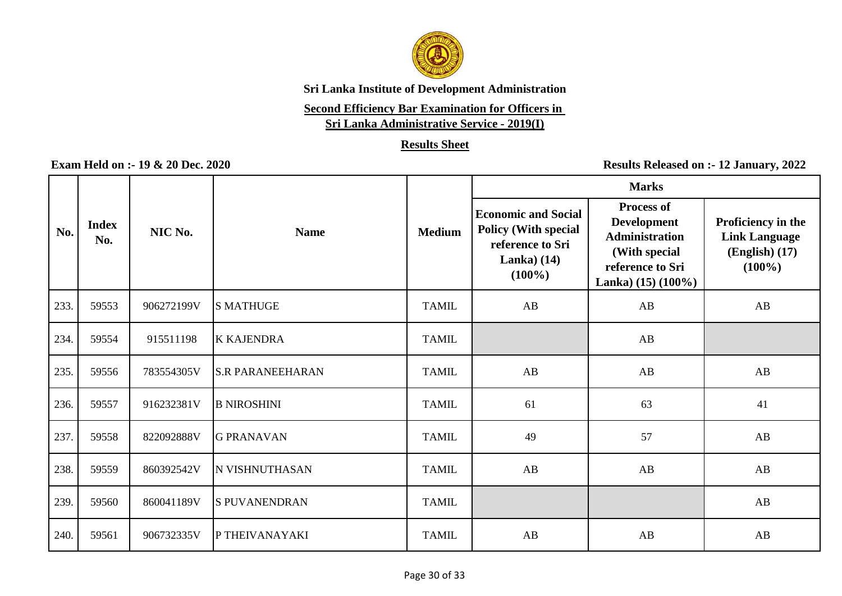

# **Second Efficiency Bar Examination for Officers in**

**Sri Lanka Administrative Service - 2019(I)**

### **Results Sheet**

|      |                     |            |                         |               | <b>Marks</b>                                                                                                |                                                                                                                                  |                                                                             |
|------|---------------------|------------|-------------------------|---------------|-------------------------------------------------------------------------------------------------------------|----------------------------------------------------------------------------------------------------------------------------------|-----------------------------------------------------------------------------|
| No.  | <b>Index</b><br>No. | NIC No.    | <b>Name</b>             | <b>Medium</b> | <b>Economic and Social</b><br><b>Policy (With special</b><br>reference to Sri<br>Lanka) $(14)$<br>$(100\%)$ | <b>Process of</b><br><b>Development</b><br><b>Administration</b><br>(With special<br>reference to Sri<br>Lanka) $(15)$ $(100\%)$ | Proficiency in the<br><b>Link Language</b><br>$(English)$ (17)<br>$(100\%)$ |
| 233. | 59553               | 906272199V | <b>S MATHUGE</b>        | <b>TAMIL</b>  | AB                                                                                                          | AB                                                                                                                               | AB                                                                          |
| 234. | 59554               | 915511198  | <b>K KAJENDRA</b>       | <b>TAMIL</b>  |                                                                                                             | AB                                                                                                                               |                                                                             |
| 235. | 59556               | 783554305V | <b>S.R PARANEEHARAN</b> | <b>TAMIL</b>  | AB                                                                                                          | AB                                                                                                                               | AB                                                                          |
| 236. | 59557               | 916232381V | <b>B NIROSHINI</b>      | <b>TAMIL</b>  | 61                                                                                                          | 63                                                                                                                               | 41                                                                          |
| 237. | 59558               | 822092888V | <b>G PRANAVAN</b>       | <b>TAMIL</b>  | 49                                                                                                          | 57                                                                                                                               | AB                                                                          |
| 238. | 59559               | 860392542V | N VISHNUTHASAN          | <b>TAMIL</b>  | AB                                                                                                          | AB                                                                                                                               | AB                                                                          |
| 239. | 59560               | 860041189V | <b>S PUVANENDRAN</b>    | <b>TAMIL</b>  |                                                                                                             |                                                                                                                                  | AB                                                                          |
| 240. | 59561               | 906732335V | P THEIVANAYAKI          | <b>TAMIL</b>  | AB                                                                                                          | AB                                                                                                                               | AB                                                                          |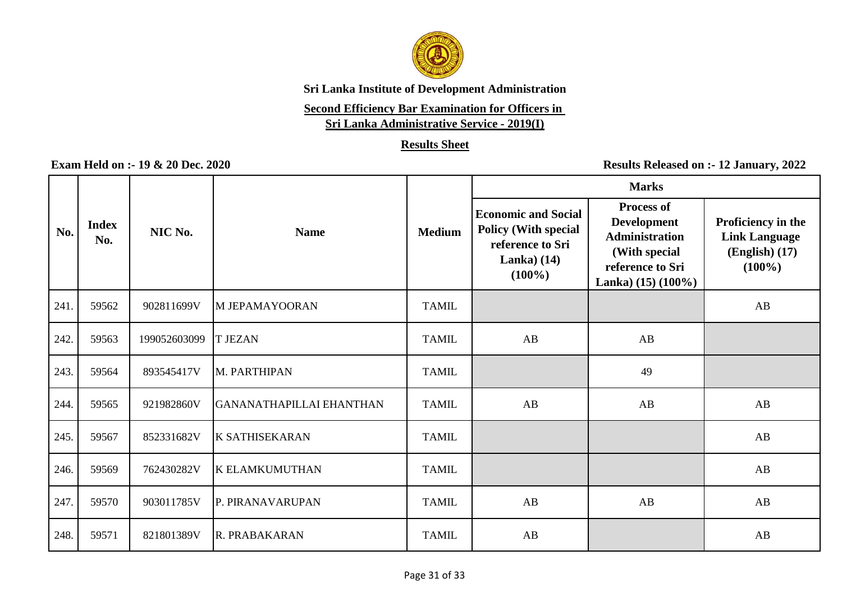

# **Second Efficiency Bar Examination for Officers in**

**Sri Lanka Administrative Service - 2019(I)**

### **Results Sheet**

|      |                     |              |                          |               | <b>Marks</b>                                                                                               |                                                                                                                                  |                                                                               |
|------|---------------------|--------------|--------------------------|---------------|------------------------------------------------------------------------------------------------------------|----------------------------------------------------------------------------------------------------------------------------------|-------------------------------------------------------------------------------|
| No.  | <b>Index</b><br>No. | NIC No.      | <b>Name</b>              | <b>Medium</b> | <b>Economic and Social</b><br><b>Policy (With special</b><br>reference to Sri<br>Lanka $(14)$<br>$(100\%)$ | <b>Process of</b><br><b>Development</b><br><b>Administration</b><br>(With special<br>reference to Sri<br>Lanka) $(15)$ $(100\%)$ | Proficiency in the<br><b>Link Language</b><br>$(English)$ $(17)$<br>$(100\%)$ |
| 241  | 59562               | 902811699V   | M JEPAMAYOORAN           | <b>TAMIL</b>  |                                                                                                            |                                                                                                                                  | AB                                                                            |
| 242. | 59563               | 199052603099 | <b>T JEZAN</b>           | <b>TAMIL</b>  | AB                                                                                                         | AB                                                                                                                               |                                                                               |
| 243. | 59564               | 893545417V   | M. PARTHIPAN             | <b>TAMIL</b>  |                                                                                                            | 49                                                                                                                               |                                                                               |
| 244. | 59565               | 921982860V   | GANANATHAPILLAI EHANTHAN | <b>TAMIL</b>  | AB                                                                                                         | AB                                                                                                                               | AB                                                                            |
| 245. | 59567               | 852331682V   | <b>K SATHISEKARAN</b>    | <b>TAMIL</b>  |                                                                                                            |                                                                                                                                  | AB                                                                            |
| 246. | 59569               | 762430282V   | <b>K ELAMKUMUTHAN</b>    | <b>TAMIL</b>  |                                                                                                            |                                                                                                                                  | AB                                                                            |
| 247. | 59570               | 903011785V   | P. PIRANAVARUPAN         | <b>TAMIL</b>  | AB                                                                                                         | AB                                                                                                                               | AB                                                                            |
| 248. | 59571               | 821801389V   | R. PRABAKARAN            | <b>TAMIL</b>  | AB                                                                                                         |                                                                                                                                  | AB                                                                            |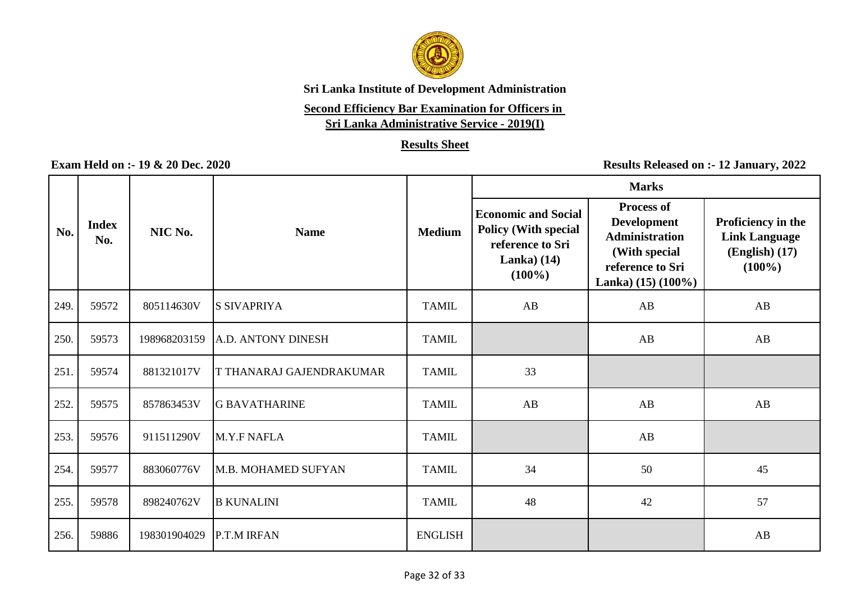

# **Second Efficiency Bar Examination for Officers in**

**Sri Lanka Administrative Service - 2019(I)**

### **Results Sheet**

|      |                     |              |                                 |                | <b>Marks</b>                                                                                               |                                                                                                                                  |                                                                               |
|------|---------------------|--------------|---------------------------------|----------------|------------------------------------------------------------------------------------------------------------|----------------------------------------------------------------------------------------------------------------------------------|-------------------------------------------------------------------------------|
| No.  | <b>Index</b><br>No. | NIC No.      | <b>Name</b>                     | <b>Medium</b>  | <b>Economic and Social</b><br><b>Policy (With special</b><br>reference to Sri<br>Lanka $(14)$<br>$(100\%)$ | <b>Process of</b><br><b>Development</b><br><b>Administration</b><br>(With special<br>reference to Sri<br>Lanka) $(15)$ $(100\%)$ | Proficiency in the<br><b>Link Language</b><br>$(English)$ $(17)$<br>$(100\%)$ |
| 249. | 59572               | 805114630V   | <b>S SIVAPRIYA</b>              | <b>TAMIL</b>   | AB                                                                                                         | AB                                                                                                                               | AB                                                                            |
| 250. | 59573               | 198968203159 | A.D. ANTONY DINESH              | <b>TAMIL</b>   |                                                                                                            | AB                                                                                                                               | AB                                                                            |
| 251. | 59574               | 881321017V   | <b>T THANARAJ GAJENDRAKUMAR</b> | <b>TAMIL</b>   | 33                                                                                                         |                                                                                                                                  |                                                                               |
| 252. | 59575               | 857863453V   | <b>G BAVATHARINE</b>            | <b>TAMIL</b>   | AB                                                                                                         | AB                                                                                                                               | AB                                                                            |
| 253. | 59576               | 911511290V   | M.Y.F NAFLA                     | <b>TAMIL</b>   |                                                                                                            | AB                                                                                                                               |                                                                               |
| 254. | 59577               | 883060776V   | M.B. MOHAMED SUFYAN             | <b>TAMIL</b>   | 34                                                                                                         | 50                                                                                                                               | 45                                                                            |
| 255. | 59578               | 898240762V   | <b>B KUNALINI</b>               | <b>TAMIL</b>   | 48                                                                                                         | 42                                                                                                                               | 57                                                                            |
| 256. | 59886               | 198301904029 | P.T.M IRFAN                     | <b>ENGLISH</b> |                                                                                                            |                                                                                                                                  | AB                                                                            |